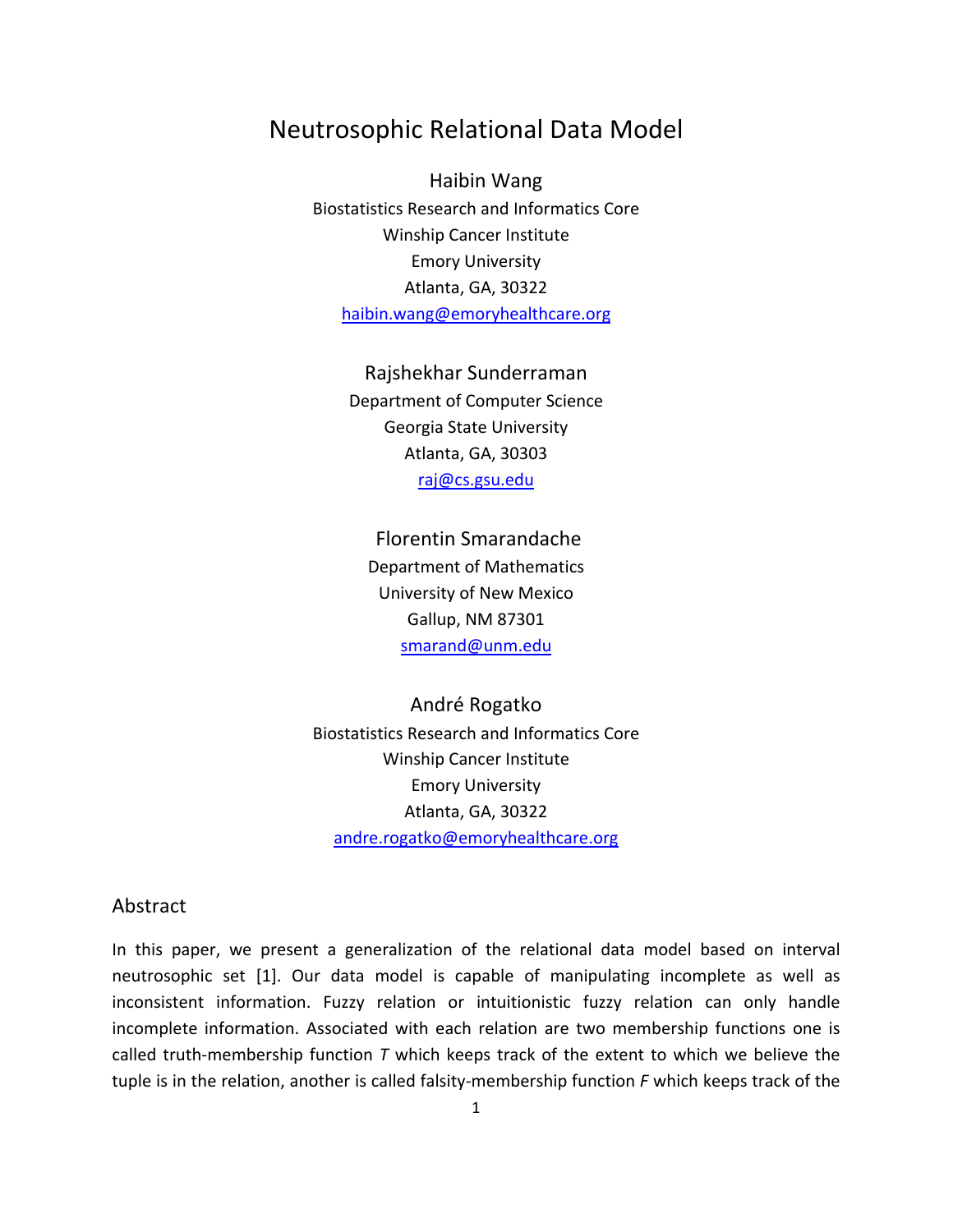# Neutrosophic Relational Data Model

 Haibin Wang Biostatistics Research and Informatics Core Winship Cancer Institute Emory University Atlanta, GA, 30322 haibin.wang@emoryhealthcare.org

> Rajshekhar Sunderraman Department of Computer Science Georgia State University Atlanta, GA, 30303 raj@cs.gsu.edu

Florentin Smarandache Department of Mathematics University of New Mexico Gallup, NM 87301 smarand@unm.edu

André Rogatko Biostatistics Research and Informatics Core Winship Cancer Institute Emory University Atlanta, GA, 30322 andre.rogatko@emoryhealthcare.org

## Abstract

In this paper, we present a generalization of the relational data model based on interval neutrosophic set [1]. Our data model is capable of manipulating incomplete as well as inconsistent information. Fuzzy relation or intuitionistic fuzzy relation can only handle incomplete information. Associated with each relation are two membership functions one is called truth‐membership function *T* which keeps track of the extent to which we believe the tuple is in the relation, another is called falsity‐membership function *F* which keeps track of the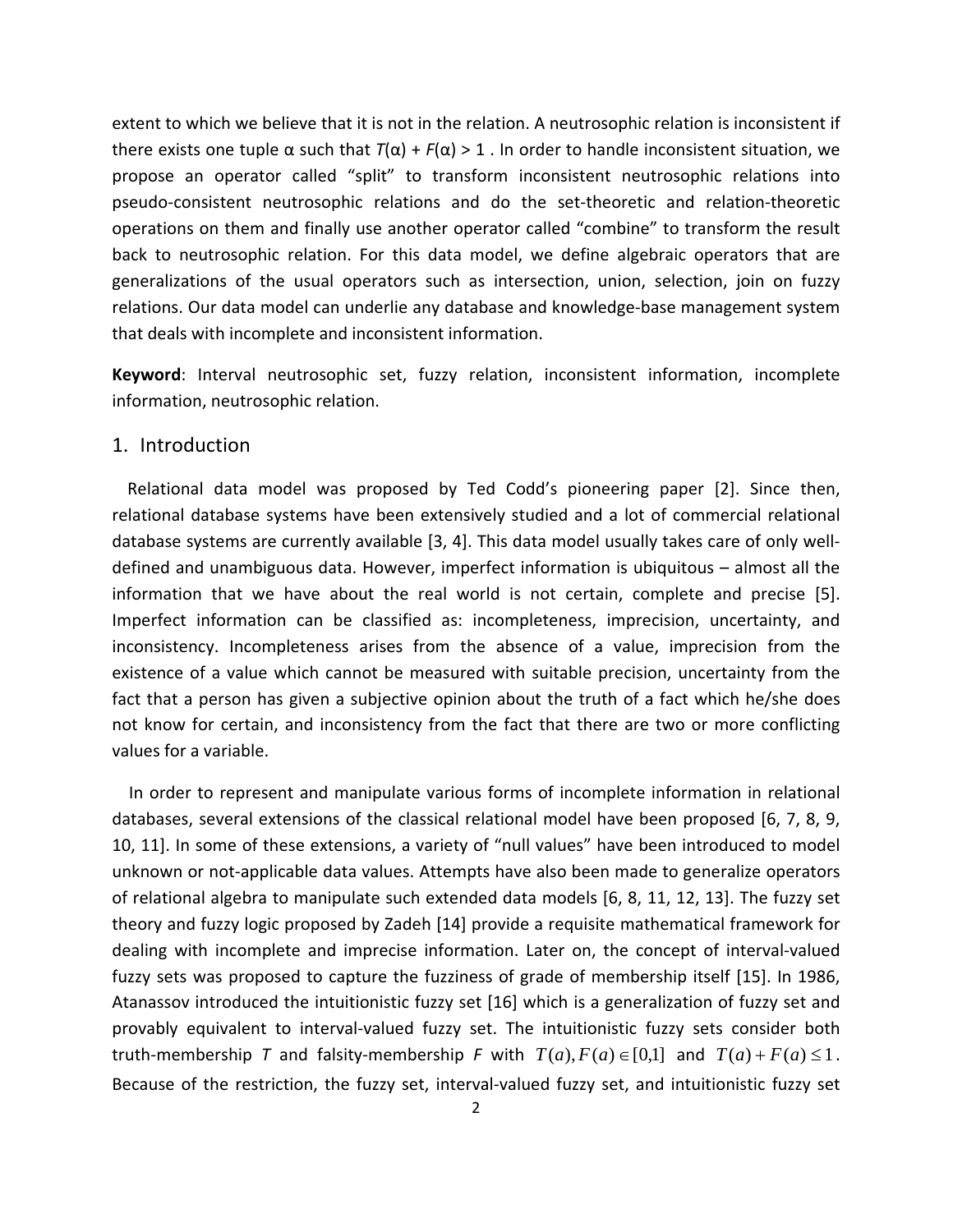extent to which we believe that it is not in the relation. A neutrosophic relation is inconsistent if there exists one tuple  $\alpha$  such that  $T(\alpha) + F(\alpha) > 1$ . In order to handle inconsistent situation, we propose an operator called "split" to transform inconsistent neutrosophic relations into pseudo‐consistent neutrosophic relations and do the set‐theoretic and relation‐theoretic operations on them and finally use another operator called "combine" to transform the result back to neutrosophic relation. For this data model, we define algebraic operators that are generalizations of the usual operators such as intersection, union, selection, join on fuzzy relations. Our data model can underlie any database and knowledge‐base management system that deals with incomplete and inconsistent information.

**Keyword**: Interval neutrosophic set, fuzzy relation, inconsistent information, incomplete information, neutrosophic relation.

# 1. Introduction

 Relational data model was proposed by Ted Codd's pioneering paper [2]. Since then, relational database systems have been extensively studied and a lot of commercial relational database systems are currently available [3, 4]. This data model usually takes care of only well‐ defined and unambiguous data. However, imperfect information is ubiquitous – almost all the information that we have about the real world is not certain, complete and precise [5]. Imperfect information can be classified as: incompleteness, imprecision, uncertainty, and inconsistency. Incompleteness arises from the absence of a value, imprecision from the existence of a value which cannot be measured with suitable precision, uncertainty from the fact that a person has given a subjective opinion about the truth of a fact which he/she does not know for certain, and inconsistency from the fact that there are two or more conflicting values for a variable.

 In order to represent and manipulate various forms of incomplete information in relational databases, several extensions of the classical relational model have been proposed [6, 7, 8, 9, 10, 11]. In some of these extensions, a variety of "null values" have been introduced to model unknown or not‐applicable data values. Attempts have also been made to generalize operators of relational algebra to manipulate such extended data models [6, 8, 11, 12, 13]. The fuzzy set theory and fuzzy logic proposed by Zadeh [14] provide a requisite mathematical framework for dealing with incomplete and imprecise information. Later on, the concept of interval‐valued fuzzy sets was proposed to capture the fuzziness of grade of membership itself [15]. In 1986, Atanassov introduced the intuitionistic fuzzy set [16] which is a generalization of fuzzy set and provably equivalent to interval-valued fuzzy set. The intuitionistic fuzzy sets consider both truth-membership *T* and falsity-membership *F* with  $T(a)$ ,  $F(a) \in [0,1]$  and  $T(a) + F(a) \le 1$ . Because of the restriction, the fuzzy set, interval-valued fuzzy set, and intuitionistic fuzzy set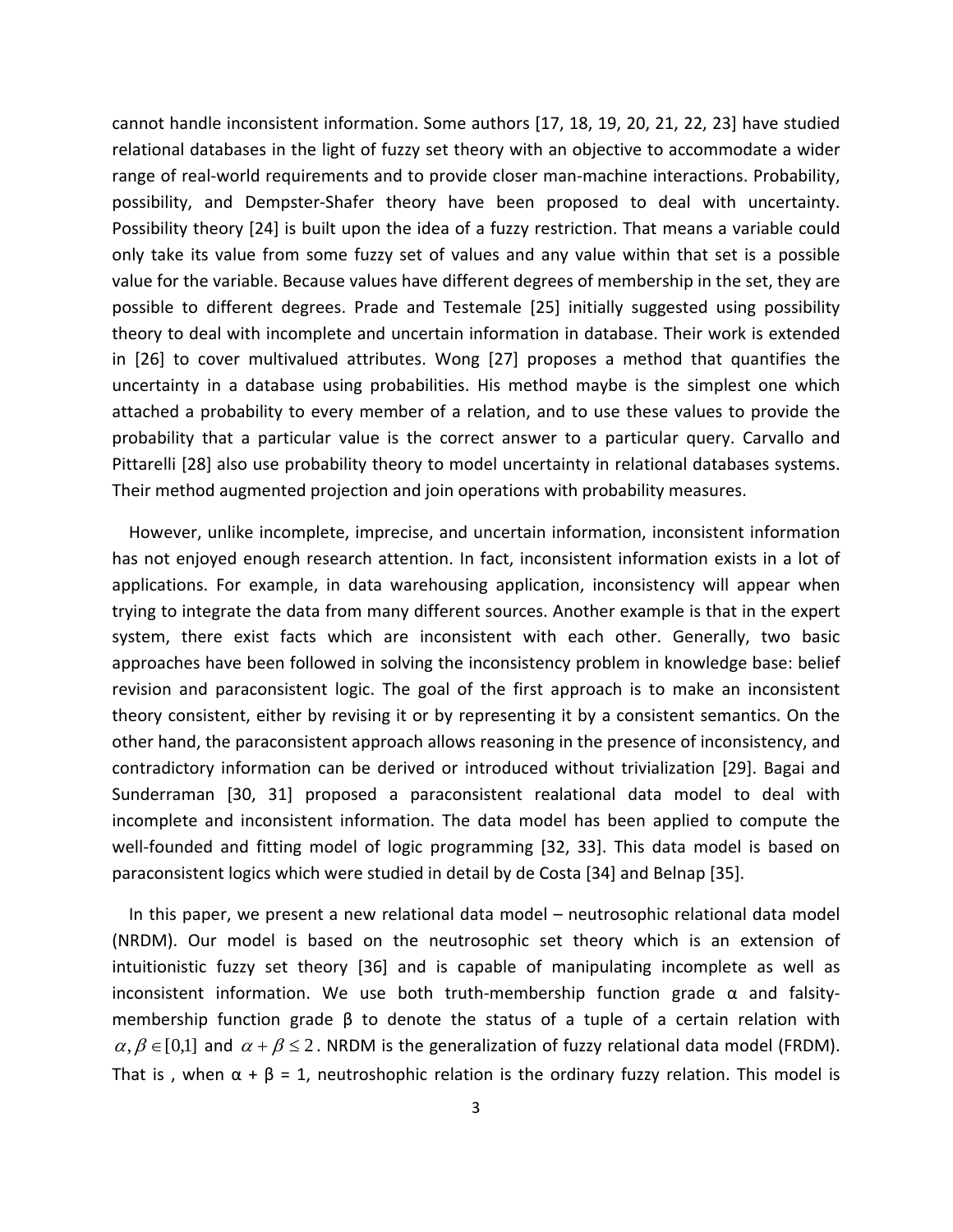cannot handle inconsistent information. Some authors [17, 18, 19, 20, 21, 22, 23] have studied relational databases in the light of fuzzy set theory with an objective to accommodate a wider range of real-world requirements and to provide closer man-machine interactions. Probability, possibility, and Dempster‐Shafer theory have been proposed to deal with uncertainty. Possibility theory [24] is built upon the idea of a fuzzy restriction. That means a variable could only take its value from some fuzzy set of values and any value within that set is a possible value for the variable. Because values have different degrees of membership in the set, they are possible to different degrees. Prade and Testemale [25] initially suggested using possibility theory to deal with incomplete and uncertain information in database. Their work is extended in [26] to cover multivalued attributes. Wong [27] proposes a method that quantifies the uncertainty in a database using probabilities. His method maybe is the simplest one which attached a probability to every member of a relation, and to use these values to provide the probability that a particular value is the correct answer to a particular query. Carvallo and Pittarelli [28] also use probability theory to model uncertainty in relational databases systems. Their method augmented projection and join operations with probability measures.

 However, unlike incomplete, imprecise, and uncertain information, inconsistent information has not enjoyed enough research attention. In fact, inconsistent information exists in a lot of applications. For example, in data warehousing application, inconsistency will appear when trying to integrate the data from many different sources. Another example is that in the expert system, there exist facts which are inconsistent with each other. Generally, two basic approaches have been followed in solving the inconsistency problem in knowledge base: belief revision and paraconsistent logic. The goal of the first approach is to make an inconsistent theory consistent, either by revising it or by representing it by a consistent semantics. On the other hand, the paraconsistent approach allows reasoning in the presence of inconsistency, and contradictory information can be derived or introduced without trivialization [29]. Bagai and Sunderraman [30, 31] proposed a paraconsistent realational data model to deal with incomplete and inconsistent information. The data model has been applied to compute the well-founded and fitting model of logic programming [32, 33]. This data model is based on paraconsistent logics which were studied in detail by de Costa [34] and Belnap [35].

 In this paper, we present a new relational data model – neutrosophic relational data model (NRDM). Our model is based on the neutrosophic set theory which is an extension of intuitionistic fuzzy set theory [36] and is capable of manipulating incomplete as well as inconsistent information. We use both truth-membership function grade  $\alpha$  and falsitymembership function grade  $\beta$  to denote the status of a tuple of a certain relation with  $\alpha, \beta \in [0,1]$  and  $\alpha + \beta \leq 2$ . NRDM is the generalization of fuzzy relational data model (FRDM). That is, when  $\alpha + \beta = 1$ , neutroshophic relation is the ordinary fuzzy relation. This model is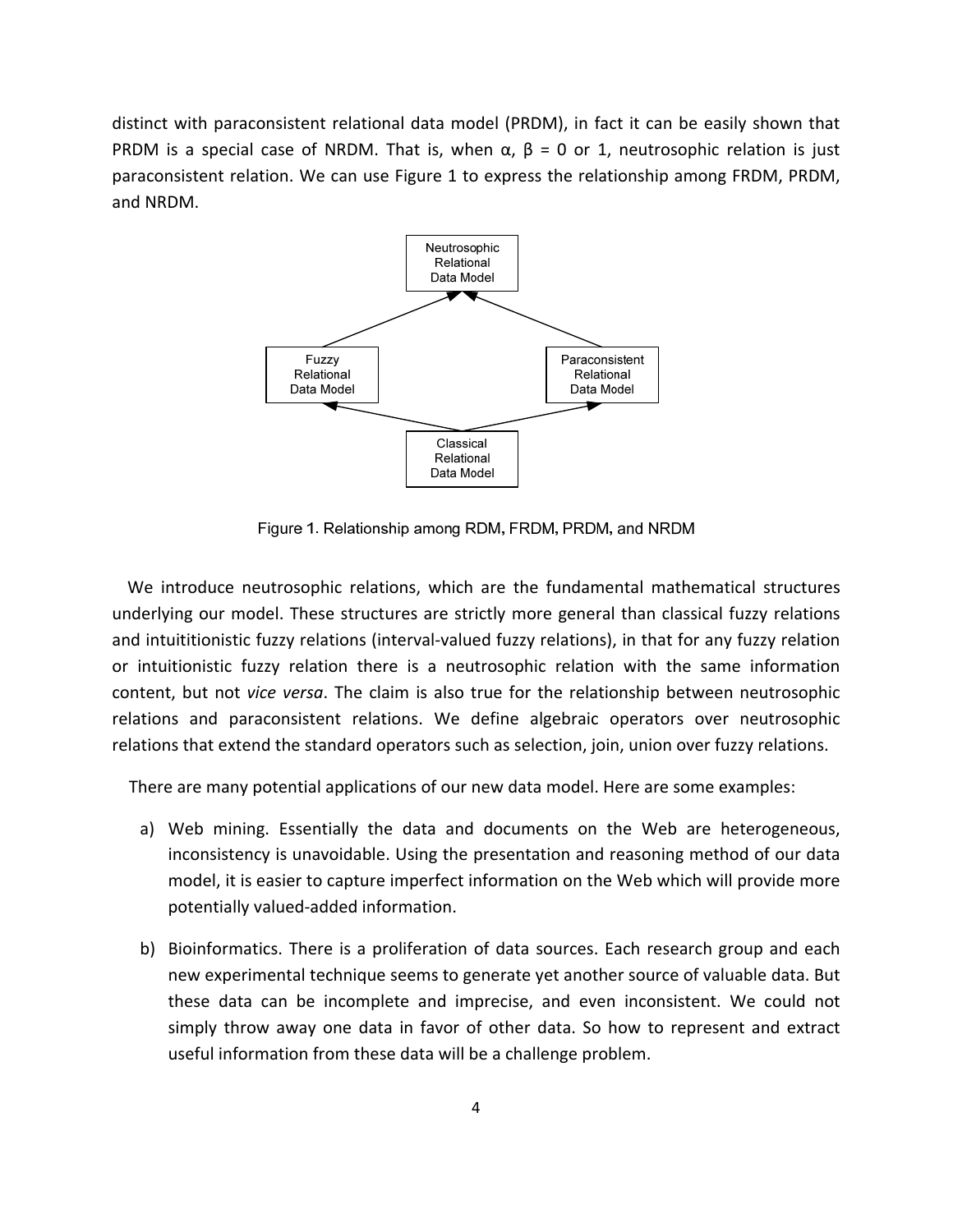distinct with paraconsistent relational data model (PRDM), in fact it can be easily shown that PRDM is a special case of NRDM. That is, when  $\alpha$ ,  $\beta$  = 0 or 1, neutrosophic relation is just paraconsistent relation. We can use Figure 1 to express the relationship among FRDM, PRDM, and NRDM.



Figure 1. Relationship among RDM, FRDM, PRDM, and NRDM

 We introduce neutrosophic relations, which are the fundamental mathematical structures underlying our model. These structures are strictly more general than classical fuzzy relations and intuititionistic fuzzy relations (interval-valued fuzzy relations), in that for any fuzzy relation or intuitionistic fuzzy relation there is a neutrosophic relation with the same information content, but not *vice versa*. The claim is also true for the relationship between neutrosophic relations and paraconsistent relations. We define algebraic operators over neutrosophic relations that extend the standard operators such as selection, join, union over fuzzy relations.

There are many potential applications of our new data model. Here are some examples:

- a) Web mining. Essentially the data and documents on the Web are heterogeneous, inconsistency is unavoidable. Using the presentation and reasoning method of our data model, it is easier to capture imperfect information on the Web which will provide more potentially valued‐added information.
- b) Bioinformatics. There is a proliferation of data sources. Each research group and each new experimental technique seems to generate yet another source of valuable data. But these data can be incomplete and imprecise, and even inconsistent. We could not simply throw away one data in favor of other data. So how to represent and extract useful information from these data will be a challenge problem.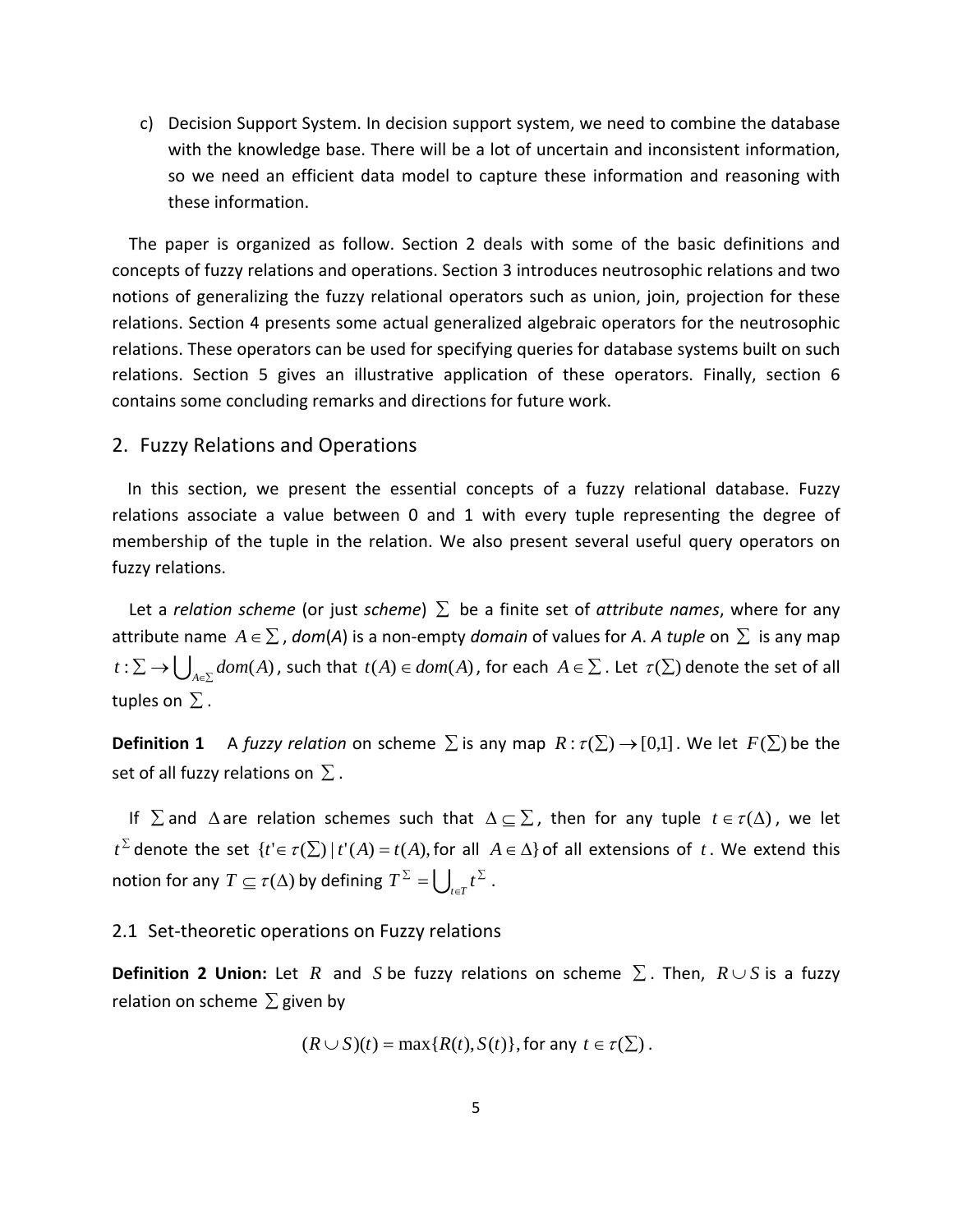c) Decision Support System. In decision support system, we need to combine the database with the knowledge base. There will be a lot of uncertain and inconsistent information, so we need an efficient data model to capture these information and reasoning with these information.

 The paper is organized as follow. Section 2 deals with some of the basic definitions and concepts of fuzzy relations and operations. Section 3 introduces neutrosophic relations and two notions of generalizing the fuzzy relational operators such as union, join, projection for these relations. Section 4 presents some actual generalized algebraic operators for the neutrosophic relations. These operators can be used for specifying queries for database systems built on such relations. Section 5 gives an illustrative application of these operators. Finally, section 6 contains some concluding remarks and directions for future work.

# 2. Fuzzy Relations and Operations

 In this section, we present the essential concepts of a fuzzy relational database. Fuzzy relations associate a value between 0 and 1 with every tuple representing the degree of membership of the tuple in the relation. We also present several useful query operators on fuzzy relations.

Let a *relation scheme* (or just *scheme*)  $\Sigma$  be a finite set of *attribute names*, where for any attribute name *A*∈ ∑ , *dom*(*A*) is a non‐empty *domain* of values for *A*. *A tuple* on ∑ is any map  $t:\Sigma\to\bigcup_{A\in\Sigma}dom(A)$  , such that  $t(A)\in dom(A)$  , for each  $A\in\Sigma$  . Let  $\tau(\Sigma)$  denote the set of all tuples on  $\Sigma$ .

**Definition 1** A *fuzzy relation* on scheme  $\Sigma$  is any map  $R : \tau(\Sigma) \to [0,1]$ . We let  $F(\Sigma)$  be the set of all fuzzy relations on  $\Sigma$ .

If  $\Sigma$  and  $\Delta$  are relation schemes such that  $\Delta \subseteq \Sigma$ , then for any tuple  $t \in \tau(\Delta)$ , we let  $t^{\Sigma}$  denote the set  $\{t' \in \tau(\Sigma) \mid t'(A) = t(A), \text{for all } A \in \Delta \}$  of all extensions of  $t$ . We extend this notion for any  $T \subseteq \tau(\Delta)$  by defining  $T^{\Sigma} = \bigcup_{t \in T} t^{\Sigma}$  .

#### 2.1 Set-theoretic operations on Fuzzy relations

**Definition 2 Union:** Let *R* and *S* be fuzzy relations on scheme  $\Sigma$ . Then,  $R \cup S$  is a fuzzy relation on scheme  $\Sigma$  given by

$$
(R \cup S)(t) = \max\{R(t), S(t)\}, \text{for any } t \in \tau(\Sigma).
$$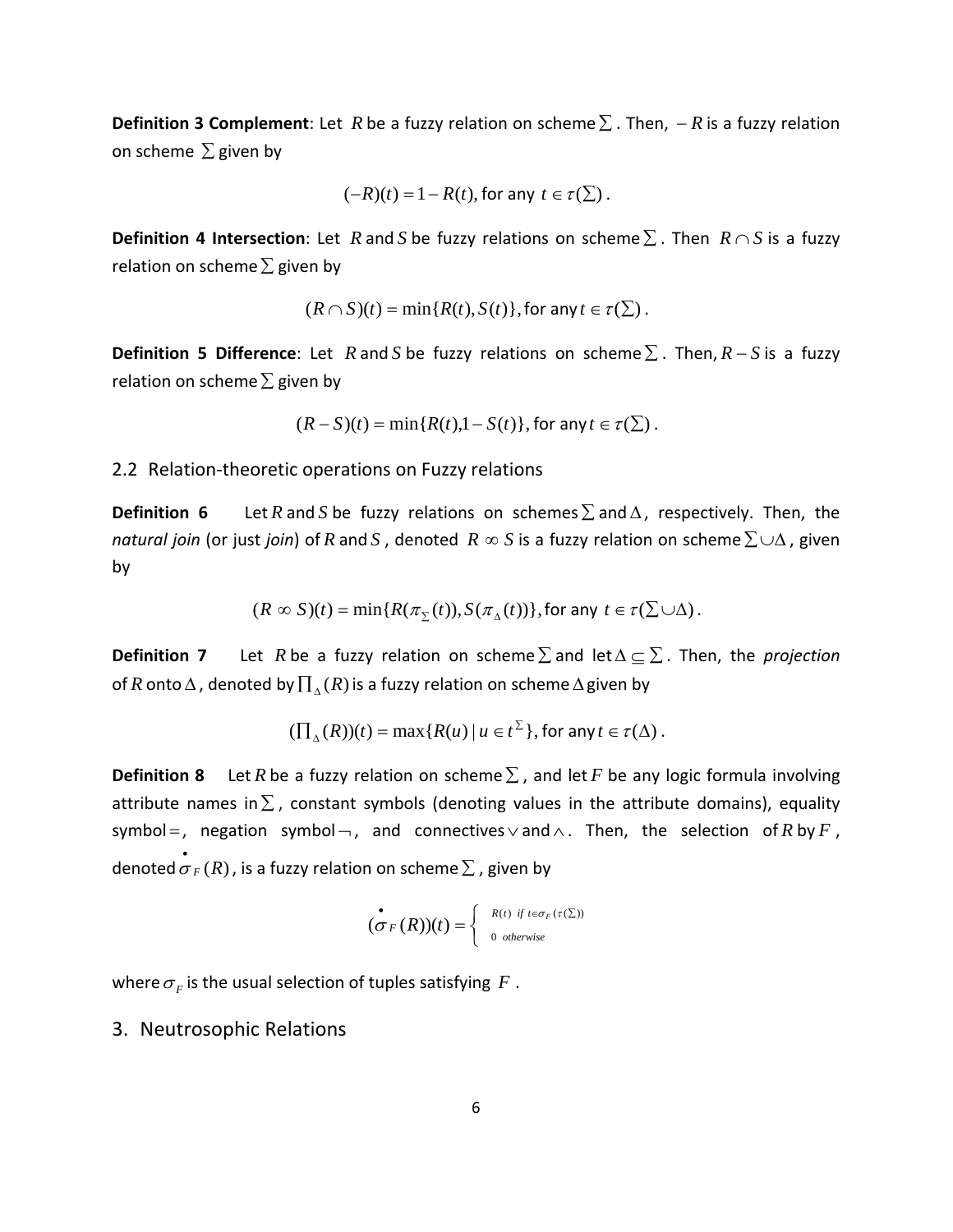**Definition 3 Complement**: Let *R* be a fuzzy relation on scheme  $\Sigma$ . Then,  $-R$  is a fuzzy relation on scheme  $\Sigma$  given by

$$
(-R)(t) = 1 - R(t), \text{ for any } t \in \tau(\Sigma).
$$

**Definition 4 Intersection**: Let *R* and *S* be fuzzy relations on scheme  $\Sigma$ . Then  $R \cap S$  is a fuzzy relation on scheme∑ given by

$$
(R \cap S)(t) = \min\{R(t), S(t)\}, \text{for any } t \in \tau(\Sigma).
$$

**Definition 5 Difference**: Let *R* and *S* be fuzzy relations on scheme ∑ . Then, *R* − *S* is a fuzzy relation on scheme $\Sigma$  given by

$$
(R-S)(t) = \min\{R(t),1-S(t)\}\text{, for any }t\in\tau(\Sigma)\text{.}
$$

#### 2.2 Relation-theoretic operations on Fuzzy relations

**Definition 6** Let *R* and *S* be fuzzy relations on schemes  $\Sigma$  and  $\Delta$ , respectively. Then, the *natural join* (or just *join*) of *R* and *S* , denoted *R* ∞ *S* is a fuzzy relation on scheme ∑∪Δ , given by

$$
(R \otimes S)(t) = \min\{R(\pi_{\Sigma}(t)), S(\pi_{\Lambda}(t))\}, \text{for any } t \in \tau(\Sigma \cup \Delta).
$$

**Definition 7** Let *R* be a fuzzy relation on scheme ∑ and letΔ ⊆ ∑ . Then, the *projection* of *R* onto  $\Delta$ , denoted by  $\prod_{\Delta}(R)$  is a fuzzy relation on scheme  $\Delta$  given by

$$
(\prod_{\Delta}(R))(t) = \max\{R(u) \mid u \in t^{\Sigma}\}, \text{ for any } t \in \tau(\Delta) .
$$

**Definition 8** Let *R* be a fuzzy relation on scheme  $\Sigma$ , and let *F* be any logic formula involving attribute names in  $\Sigma$ , constant symbols (denoting values in the attribute domains), equality symbol =, negation symbol  $\neg$ , and connectives∨ and  $\wedge$ . Then, the selection of *R* by *F*, denoted  $\overset{\bullet}{\sigma}_F(R)$  , is a fuzzy relation on scheme  $\Sigma$  , given by

$$
(\sigma_F(R))(t) = \begin{cases} R(t) & \text{if } t \in \sigma_F(\tau(\Sigma)) \\ 0 & \text{otherwise} \end{cases}
$$

where  $\sigma_F$  is the usual selection of tuples satisfying F.

# 3. Neutrosophic Relations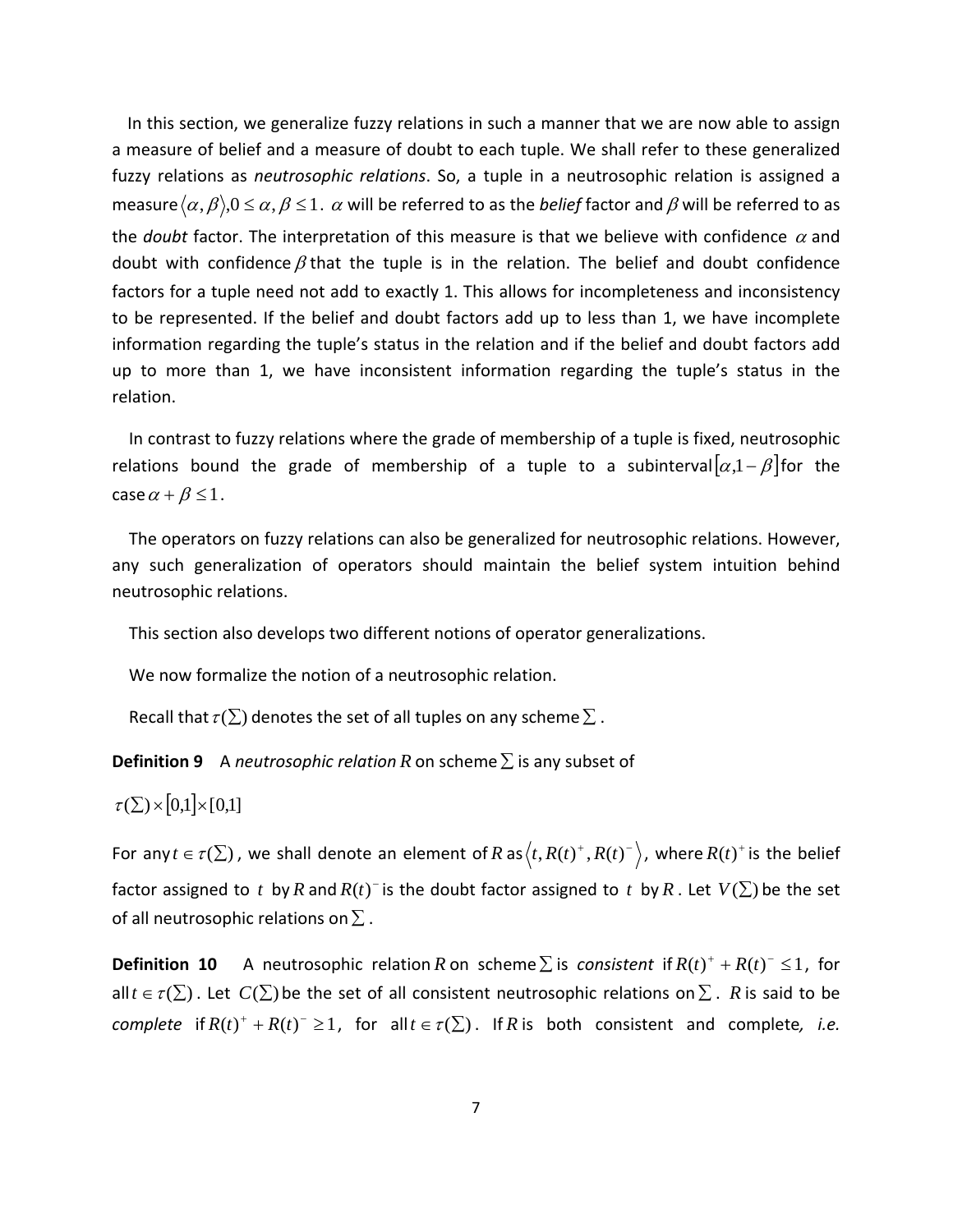In this section, we generalize fuzzy relations in such a manner that we are now able to assign a measure of belief and a measure of doubt to each tuple. We shall refer to these generalized fuzzy relations as *neutrosophic relations*. So, a tuple in a neutrosophic relation is assigned a measure  $\langle \alpha, \beta \rangle$ , $0 \le \alpha, \beta \le 1$ .  $\alpha$  will be referred to as the *belief* factor and  $\beta$  will be referred to as the *doubt* factor. The interpretation of this measure is that we believe with confidence  $\alpha$  and doubt with confidence  $\beta$  that the tuple is in the relation. The belief and doubt confidence factors for a tuple need not add to exactly 1. This allows for incompleteness and inconsistency to be represented. If the belief and doubt factors add up to less than 1, we have incomplete information regarding the tuple's status in the relation and if the belief and doubt factors add up to more than 1, we have inconsistent information regarding the tuple's status in the relation.

 In contrast to fuzzy relations where the grade of membership of a tuple is fixed, neutrosophic relations bound the grade of membership of a tuple to a subinterval $[\alpha, 1-\beta]$  for the case  $\alpha + \beta \leq 1$ .

 The operators on fuzzy relations can also be generalized for neutrosophic relations. However, any such generalization of operators should maintain the belief system intuition behind neutrosophic relations.

This section also develops two different notions of operator generalizations.

We now formalize the notion of a neutrosophic relation.

Recall that  $\tau(\Sigma)$  denotes the set of all tuples on any scheme  $\Sigma$  .

**Definition 9** A *neutrosophic relation*  $R$  on scheme  $\sum$  is any subset of

 $\tau(\Sigma) \times [0,1] \times [0,1]$ 

For any  $t \in \tau(\Sigma)$ , we shall denote an element of  $R$  as  $\langle t, R(t)^+, R(t)^-\rangle$ , where  $R(t)^+$  is the belief factor assigned to *t* by *R* and  $R(t)$ <sup> $-$ </sup> is the doubt factor assigned to *t* by *R* . Let  $V(\Sigma)$  be the set of all neutrosophic relations on  $\Sigma$  .

**Definition 10** A neutrosophic relation *R* on scheme∑ is *consistent* if  $R(t)^+ + R(t)^- \leq 1$ , for all  $t \in \tau(\Sigma)$ . Let  $C(\Sigma)$  be the set of all consistent neutrosophic relations on  $\Sigma$ . *R* is said to be *complete* if  $R(t)^+ + R(t)^- \geq 1$ , for all  $t \in \tau(\sum)$ . If R is both consistent and complete, *i.e.*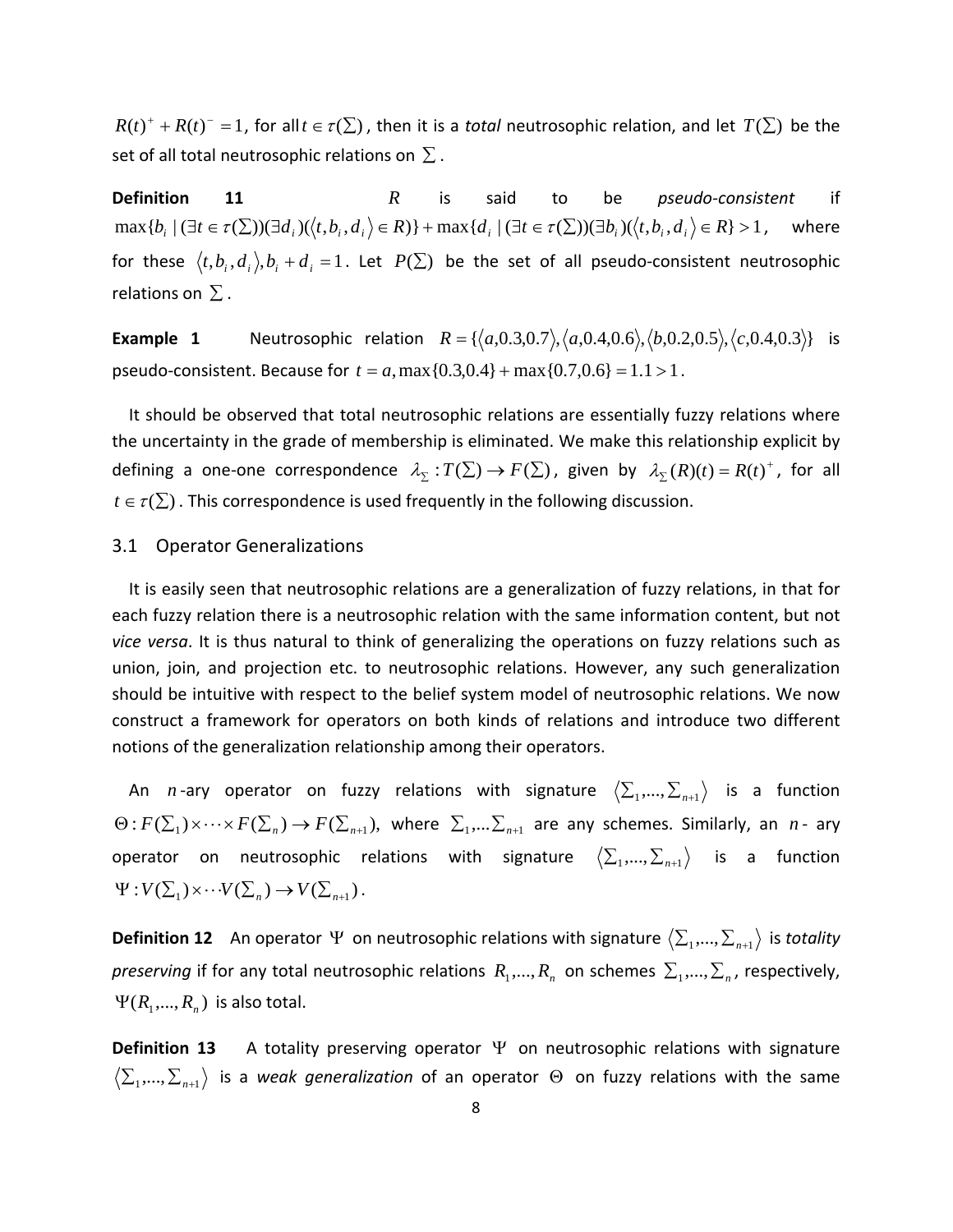$R(t)^+ + R(t)^- = 1$ , for all $t \in \tau(\Sigma)$ , then it is a *total* neutrosophic relation, and let  $T(\Sigma)$  be the set of all total neutrosophic relations on  $\Sigma$ .

**Definition 11** *R* is said to be *pseudo‐consistent* if  $\max\{b_i | (\exists t \in \tau(\Sigma))(\exists d_i)(\langle t, b_i, d_i \rangle \in R)\} + \max\{d_i | (\exists t \in \tau(\Sigma))(\exists b_i)(\langle t, b_i, d_i \rangle \in R\} > 1$ , where for these  $\langle t, b_i, d_i \rangle$ ,  $b_i + d_i = 1$ . Let  $P(\Sigma)$  be the set of all pseudo-consistent neutrosophic relations on  $\Sigma$ .

**Example 1** Neutrosophic relation  $R = \{ \langle a, 0.3, 0.7 \rangle, \langle a, 0.4, 0.6 \rangle, \langle b, 0.2, 0.5 \rangle, \langle c, 0.4, 0.3 \rangle \}$  is pseudo-consistent. Because for  $t = a$ ,  $\max\{0.3, 0.4\} + \max\{0.7, 0.6\} = 1.1 > 1$ .

 It should be observed that total neutrosophic relations are essentially fuzzy relations where the uncertainty in the grade of membership is eliminated. We make this relationship explicit by defining a one-one correspondence  $\lambda_{\Sigma}: T(\Sigma) \to F(\Sigma)$ , given by  $\lambda_{\Sigma}(R)(t) = R(t)^{+}$ , for all  $t \in \tau(\Sigma)$ . This correspondence is used frequently in the following discussion.

#### 3.1 Operator Generalizations

 It is easily seen that neutrosophic relations are a generalization of fuzzy relations, in that for each fuzzy relation there is a neutrosophic relation with the same information content, but not *vice versa*. It is thus natural to think of generalizing the operations on fuzzy relations such as union, join, and projection etc. to neutrosophic relations. However, any such generalization should be intuitive with respect to the belief system model of neutrosophic relations. We now construct a framework for operators on both kinds of relations and introduce two different notions of the generalization relationship among their operators.

An *n*-ary operator on fuzzy relations with signature  $\langle \sum_1,...,\sum_{n+1} \rangle$  is a function  $\Theta: F(\sum_1) \times \cdots \times F(\sum_n) \to F(\sum_{n+1})$ , where  $\sum_1, \ldots, \sum_{n+1}$  are any schemes. Similarly, an *n* - ary operator on neutrosophic relations with signature  $\langle \sum_1,...,\sum_{n+1} \rangle$  is a function  $\Psi : V(\sum_{1} \times \cdots V(\sum_{n} \rightarrow V(\sum_{n+1} \infty$ 

**Definition 12** An operator  $\Psi$  on neutrosophic relations with signature  $\langle \sum_1,...,\sum_{n+1} \rangle$  is *totality preserving* if for any total neutrosophic relations  $R_1, ..., R_n$  on schemes  $\sum_1, ..., \sum_n$ , respectively,  $\Psi(R_1, ..., R_n)$  is also total.

**Definition 13** A totality preserving operator Ψ on neutrosophic relations with signature  $\langle \sum_1,...,\sum_{n+1} \rangle$  is a *weak generalization* of an operator Θ on fuzzy relations with the same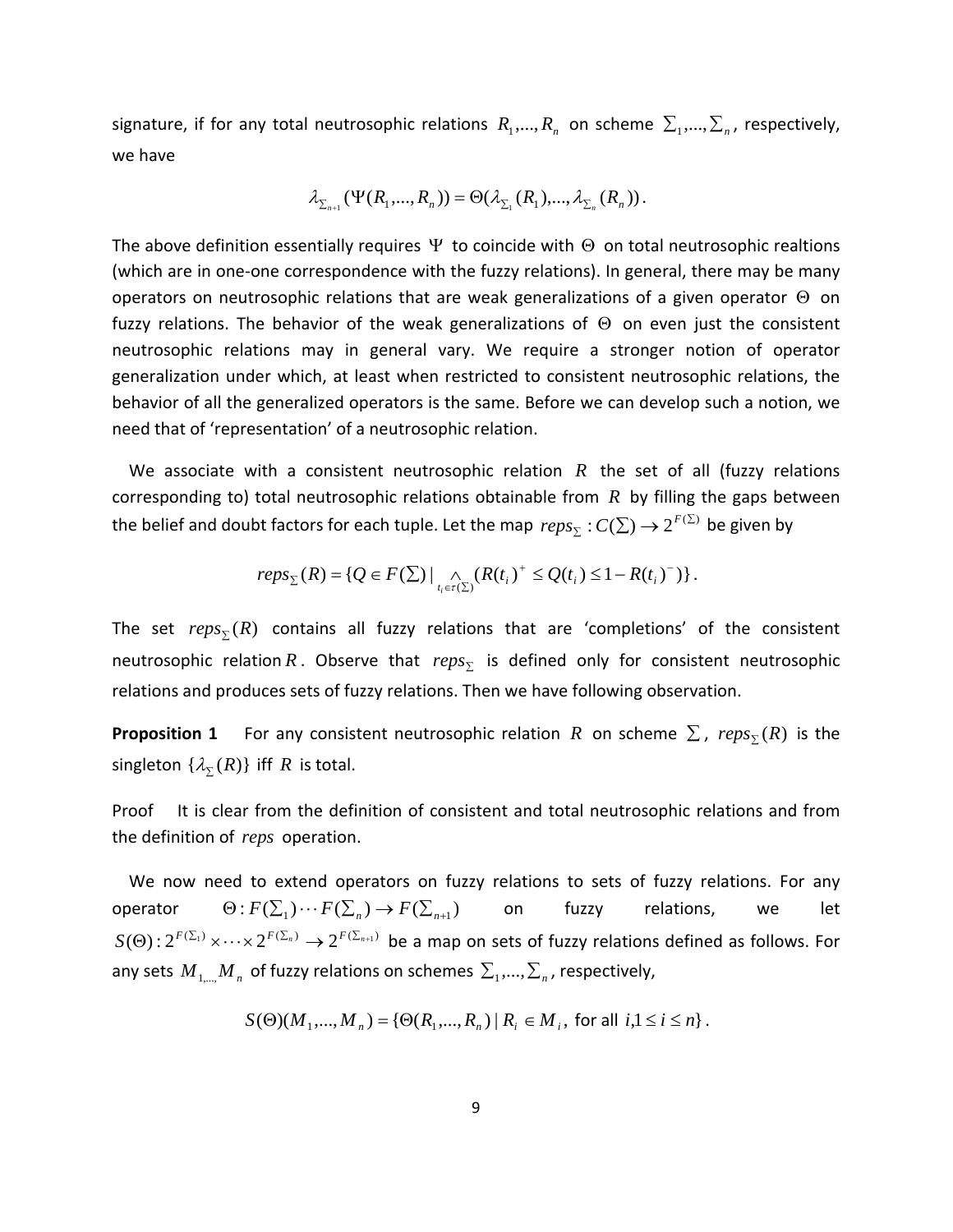signature, if for any total neutrosophic relations  $R_1, ..., R_n$  on scheme  $\sum_1, ..., \sum_n$ , respectively, we have

$$
\lambda_{\sum_{n+1}}(\Psi(R_1,...,R_n)) = \Theta(\lambda_{\sum_{1}}(R_1),...,\lambda_{\sum_{n}}(R_n)).
$$

The above definition essentially requires  $\Psi$  to coincide with  $\Theta$  on total neutrosophic realtions (which are in one‐one correspondence with the fuzzy relations). In general, there may be many operators on neutrosophic relations that are weak generalizations of a given operator Θ on fuzzy relations. The behavior of the weak generalizations of  $\Theta$  on even just the consistent neutrosophic relations may in general vary. We require a stronger notion of operator generalization under which, at least when restricted to consistent neutrosophic relations, the behavior of all the generalized operators is the same. Before we can develop such a notion, we need that of 'representation' of a neutrosophic relation.

 We associate with a consistent neutrosophic relation *R* the set of all (fuzzy relations corresponding to) total neutrosophic relations obtainable from *R* by filling the gaps between the belief and doubt factors for each tuple. Let the map  $\mathit{reps}_\Sigma : C(\Sigma) \to 2^{F(\Sigma)}$  be given by

$$
reps_{\Sigma}(R) = \{Q \in F(\Sigma) \mid \bigwedge_{t_i \in \tau(\Sigma)} (R(t_i)^+ \leq Q(t_i) \leq 1 - R(t_i)^-)\}.
$$

The set  $reps_{\gamma}(R)$  contains all fuzzy relations that are 'completions' of the consistent neutrosophic relation *R* . Observe that *reps*<sub>y</sub> is defined only for consistent neutrosophic relations and produces sets of fuzzy relations. Then we have following observation.

**Proposition 1** For any consistent neutrosophic relation *R* on scheme ∑ , *reps* (*R*) <sup>∑</sup> is the singleton  $\{\lambda_{\Sigma}(R)\}\$ iff *R* is total.

Proof It is clear from the definition of consistent and total neutrosophic relations and from the definition of *reps* operation.

We now need to extend operators on fuzzy relations to sets of fuzzy relations. For any operator  $\Theta: F(\sum_{1}) \cdots F(\sum_{n}) \to F(\sum_{n+1})$  on fuzzy relations, we let  $S(\Theta): 2^{F(\Sigma_1)} \times \cdots \times 2^{F(\Sigma_n)} \to 2^{F(\Sigma_{n+1})}$  be a map on sets of fuzzy relations defined as follows. For any sets  $M_{1,...,M_n}$  of fuzzy relations on schemes  $\sum_1,...,\sum_n$ , respectively,

$$
S(\Theta)(M_1,...,M_n) = \{ \Theta(R_1,...,R_n) \mid R_i \in M_i, \text{ for all } i, 1 \le i \le n \}.
$$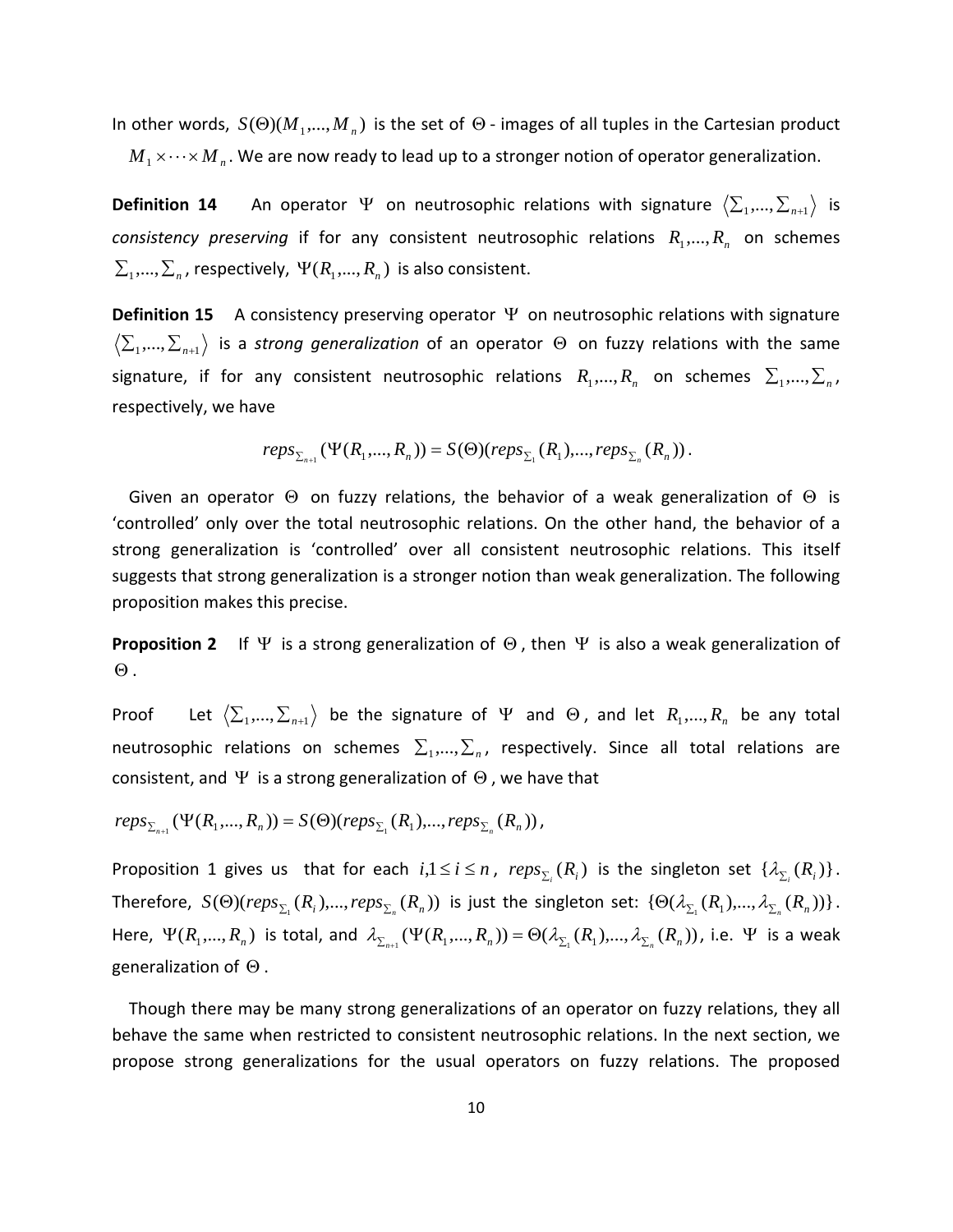In other words,  $S(\Theta)(M_1,...,M_n)$  is the set of  $\Theta$  - images of all tuples in the Cartesian product  $M_1 \times \cdots \times M_n$ . We are now ready to lead up to a stronger notion of operator generalization.

**Definition 14** An operator Ψ on neutrosophic relations with signature <sup>1</sup> <sup>1</sup> ,..., ∑ ∑*n*<sup>+</sup> is *consistency preserving* if for any consistent neutrosophic relations  $R_1, ..., R_n$  on schemes  $\sum_1$ ,...,  $\sum_n$ , respectively,  $\Psi(R_1, ..., R_n)$  is also consistent.

**Definition 15** A consistency preserving operator Ψ on neutrosophic relations with signature  $\langle \sum_1,...,\sum_{n+1}\rangle$  is a *strong generalization* of an operator Θ on fuzzy relations with the same signature, if for any consistent neutrosophic relations  $R_1, ..., R_n$  on schemes  $\sum_1, ..., \sum_n$ , respectively, we have

$$
reps_{\sum_{n+1}}(\Psi(R_1,...,R_n)) = S(\Theta)(reps_{\sum_{1}}(R_1),...,reps_{\sum_{n}}(R_n)).
$$

Given an operator  $\Theta$  on fuzzy relations, the behavior of a weak generalization of  $\Theta$  is 'controlled' only over the total neutrosophic relations. On the other hand, the behavior of a strong generalization is 'controlled' over all consistent neutrosophic relations. This itself suggests that strong generalization is a stronger notion than weak generalization. The following proposition makes this precise.

**Proposition 2** If Ψ is a strong generalization of Θ , then Ψ is also a weak generalization of Θ .

Proof Let  $\langle \sum_1,...,\sum_{n+1} \rangle$  be the signature of  $\Psi$  and  $\Theta$ , and let  $R_1,...,R_n$  be any total neutrosophic relations on schemes  $\sum_1,...,\sum_n$ , respectively. Since all total relations are consistent, and  $\Psi$  is a strong generalization of  $\Theta$ , we have that

$$
reps_{\sum_{n+1}}(\Psi(R_1,...,R_n)) = S(\Theta)(reps_{\sum_{1}}(R_1),...,reps_{\sum_{n}}(R_n)),
$$

Proposition 1 gives us that for each  $i, 1 \le i \le n$ ,  $reps_{\sum_i}(R_i)$  is the singleton set  $\{\lambda_{\sum_i}(R_i)\}\$ . Therefore,  $S(\Theta)(reps_{\Sigma_1}(R_i),...,reps_{\Sigma_n}(R_n))$  is just the singleton set:  $\{\Theta(\lambda_{\Sigma_1}(R_1),...,\lambda_{\Sigma_n}(R_n))\}$ . Here,  $\Psi(R_1,..., R_n)$  is total, and  $\lambda_{\sum_{n=1}}(\Psi(R_1,..., R_n)) = \Theta(\lambda_{\sum_{n=1}}(R_1),..., \lambda_{\sum_{n=1}}(R_n))$ , i.e.  $\Psi$  is a weak generalization of Θ .

 Though there may be many strong generalizations of an operator on fuzzy relations, they all behave the same when restricted to consistent neutrosophic relations. In the next section, we propose strong generalizations for the usual operators on fuzzy relations. The proposed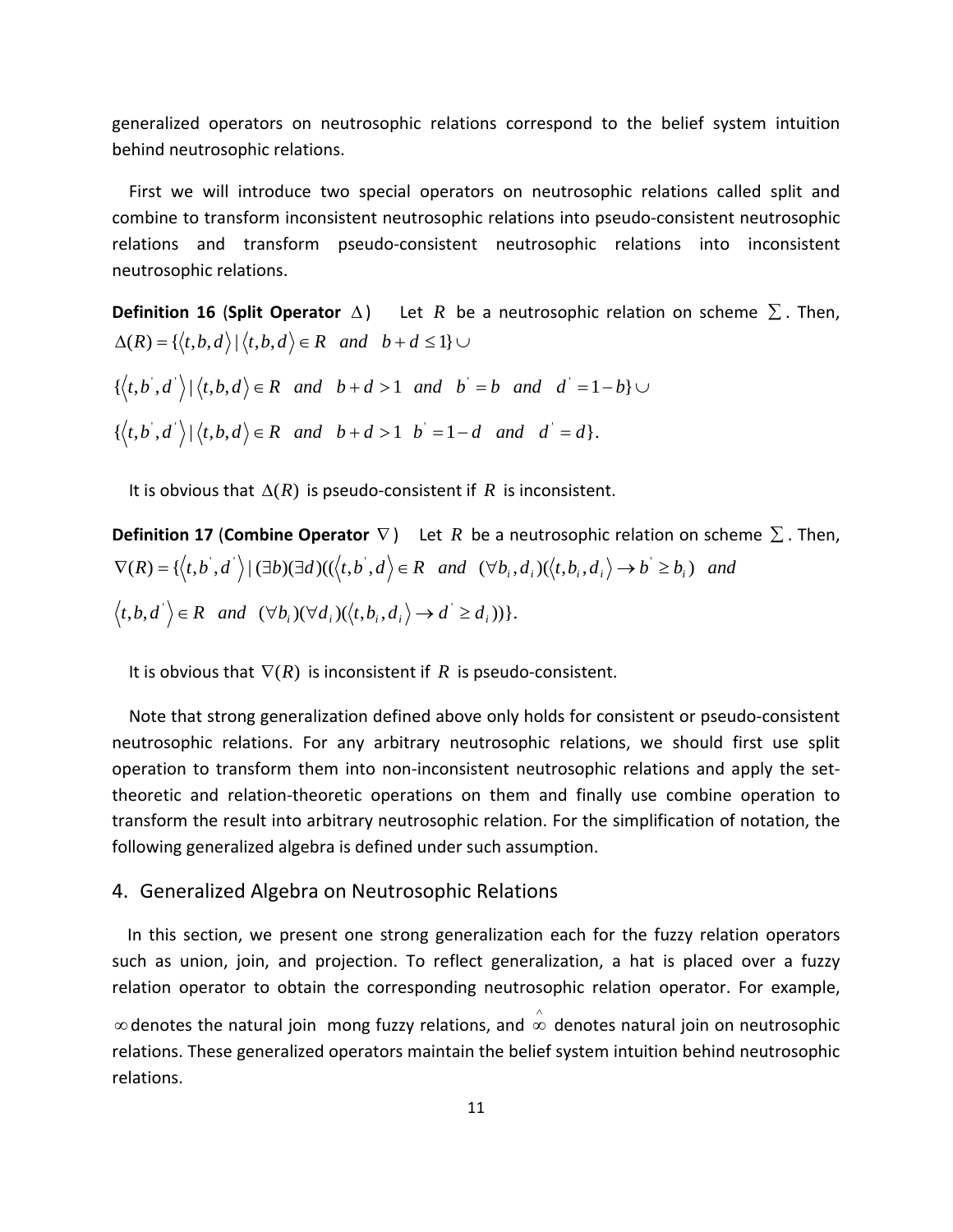generalized operators on neutrosophic relations correspond to the belief system intuition behind neutrosophic relations.

 First we will introduce two special operators on neutrosophic relations called split and combine to transform inconsistent neutrosophic relations into pseudo‐consistent neutrosophic relations and transform pseudo‐consistent neutrosophic relations into inconsistent neutrosophic relations.

**Definition 16 (Split Operator**  $\Delta$ ) Let *R* be a neutrosophic relation on scheme  $\Sigma$ . Then,  $\Delta(R) = \{ \langle t, b, d \rangle \mid \langle t, b, d \rangle \in R \text{ and } b+d \leq 1 \} \cup$ 

$$
\{\langle t,b',d'\rangle \mid \langle t,b,d\rangle \in R \text{ and } b+d>1 \text{ and } b'=b \text{ and } d'=1-b\} \cup
$$
  

$$
\{\langle t,b',d'\rangle \mid \langle t,b,d\rangle \in R \text{ and } b+d>1 \text{ } b'=1-d \text{ and } d'=d\}.
$$

It is obvious that  $\Delta(R)$  is pseudo-consistent if R is inconsistent.

**Definition 17** (**Combine Operator**  $\nabla$ ) Let *R* be a neutrosophic relation on scheme  $\Sigma$ . Then,  $\langle t, b, d \rangle \in R$  and  $(\forall b_i)(\forall d_i)(\langle t, b_i, d_i \rangle \rightarrow d \geq d_i))$ .  $\nabla(R) = \{ \langle t, b', d' \rangle | (\exists b)(\exists d)((\langle t, b', d \rangle \in R \text{ and } (\forall b_i, d_i)(\langle t, b_i, d_i \rangle \rightarrow b' \ge b_i) \text{ and }$ 

It is obvious that  $\nabla(R)$  is inconsistent if *R* is pseudo-consistent.

 Note that strong generalization defined above only holds for consistent or pseudo‐consistent neutrosophic relations. For any arbitrary neutrosophic relations, we should first use split operation to transform them into non‐inconsistent neutrosophic relations and apply the set‐ theoretic and relation‐theoretic operations on them and finally use combine operation to transform the result into arbitrary neutrosophic relation. For the simplification of notation, the following generalized algebra is defined under such assumption.

#### 4. Generalized Algebra on Neutrosophic Relations

 In this section, we present one strong generalization each for the fuzzy relation operators such as union, join, and projection. To reflect generalization, a hat is placed over a fuzzy relation operator to obtain the corresponding neutrosophic relation operator. For example,

 $∞$  denotes the natural join mong fuzzy relations, and  $\overset{\wedge}{\infty}$  denotes natural join on neutrosophic relations. These generalized operators maintain the belief system intuition behind neutrosophic relations.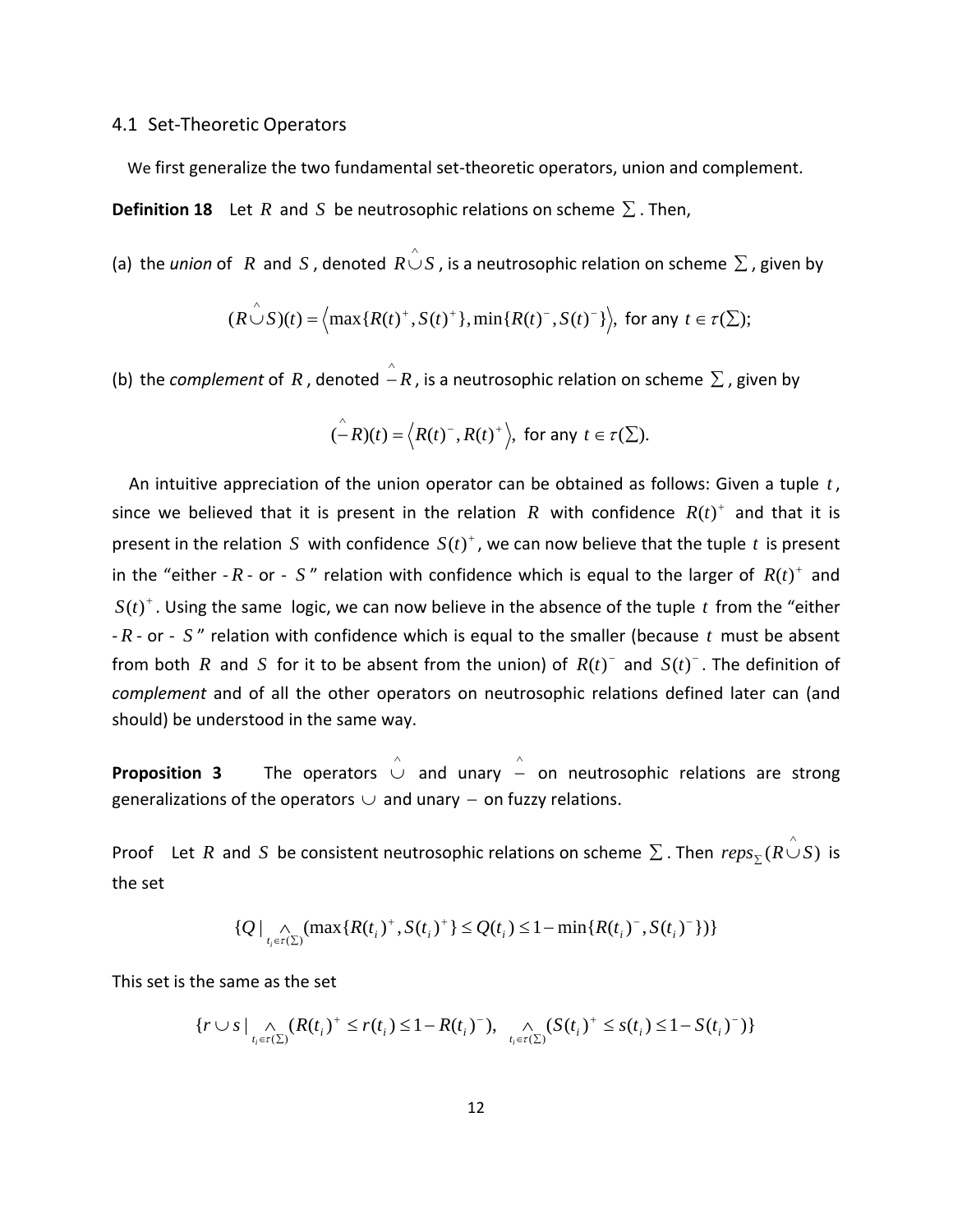#### 4.1 Set‐Theoretic Operators

We first generalize the two fundamental set-theoretic operators, union and complement.

**Definition 18** Let *R* and *S* be neutrosophic relations on scheme  $\Sigma$ . Then,

(a) the *union* of  $\overline{R}$  and  $\overline{S}$  , denoted  $\overline{R \cup S}$  , is a neutrosophic relation on scheme  $\overline{\Sigma}$  , given by

$$
(\overset{\wedge}{R\cup}S)(t)=\Big\langle \max\{R(t)^+,S(t)^+\},\min\{R(t)^-,S(t)^-\}\Big\rangle,\text{ for any }t\in\tau(\Sigma);
$$

(b) the *complement* of  $R$  , denoted  $\rightharpoonup R$  , is a neutrosophic relation on scheme  $\Sigma$  , given by

$$
(-R)(t) = \langle R(t)^-, R(t)^+ \rangle, \text{ for any } t \in \tau(\Sigma).
$$

 An intuitive appreciation of the union operator can be obtained as follows: Given a tuple *t* , since we believed that it is present in the relation R with confidence  $R(t)^{+}$  and that it is present in the relation *S* with confidence  $S(t)^+$ , we can now believe that the tuple *t* is present in the "either  $-R$  - or - S" relation with confidence which is equal to the larger of  $R(t)^{+}$  and  $S(t)^+$ . Using the same logic, we can now believe in the absence of the tuple *t* from the "either" ‐ *R* ‐ or ‐ *S* " relation with confidence which is equal to the smaller (because *t* must be absent from both *R* and *S* for it to be absent from the union) of  $R(t)$  and  $S(t)$ . The definition of *complement* and of all the other operators on neutrosophic relations defined later can (and should) be understood in the same way.

**Proposition 3** The operators  $\overset{\wedge}{\cup}$  and unary  $\overset{\wedge}{-}$  on neutrosophic relations are strong generalizations of the operators  $\cup$  and unary – on fuzzy relations.

Proof Let *R* and *S* be consistent neutrosophic relations on scheme  $\sum$  . Then  $reps_{\sum}$   $(R \cup S)$  is the set

$$
\{Q \mid \bigwedge_{t_i \in \tau(\Sigma)} (\max\{R(t_i)^+, S(t_i)^+\} \leq Q(t_i) \leq 1 - \min\{R(t_i)^-, S(t_i)^-\}\}
$$

This set is the same as the set

$$
\{r \cup s \mid \bigwedge_{t_i \in \tau(\Sigma)} (R(t_i)^+ \le r(t_i) \le 1 - R(t_i)^-), \bigwedge_{t_i \in \tau(\Sigma)} (S(t_i)^+ \le s(t_i) \le 1 - S(t_i)^-)\}
$$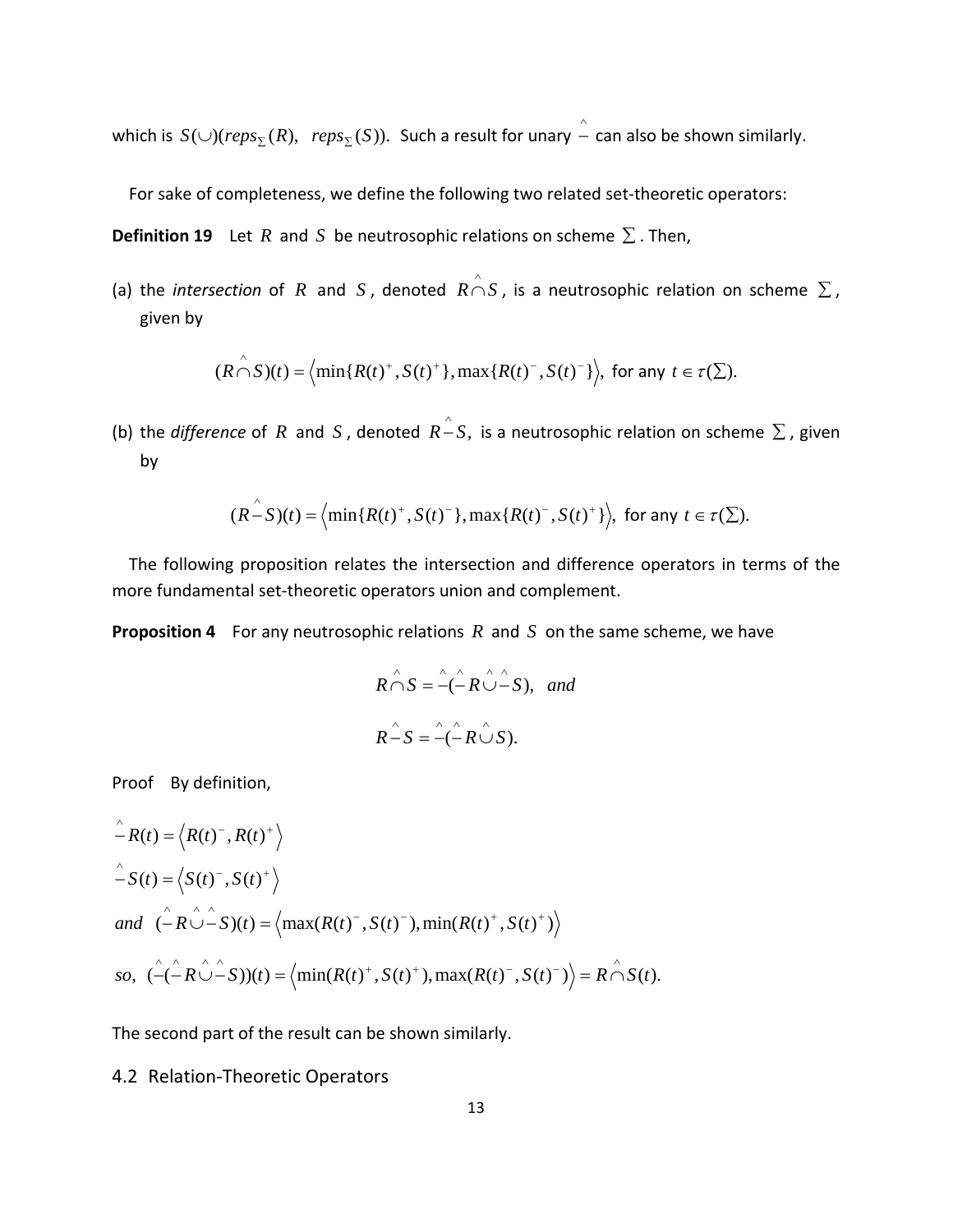which is  $\overline{S(\cup)(reps}_{\Sigma}(R),\> \> reps_{\Sigma}(S))$ . Such a result for unary  $\stackrel{\wedge}{-}$  can also be shown similarly.

For sake of completeness, we define the following two related set-theoretic operators:

**Definition 19** Let *R* and *S* be neutrosophic relations on scheme  $\Sigma$ . Then,

(a) the *intersection* of  $R$  and  $S$ , denoted  $R \cap S$ , is a neutrosophic relation on scheme  $\Sigma$ , given by

$$
(\overset{\wedge}{R}\overset{\wedge}{\cap}S)(t)=\left\langle \min\{R(t)^{+},S(t)^{+}\},\max\{R(t)^{-},S(t)^{-}\}\right\rangle,\text{ for any }t\in\tau(\Sigma).
$$

(b) the *difference* of  $R$  and  $S$ , denoted  $R \hat{-} S$ , is a neutrosophic relation on scheme  $\Sigma$ , given by

$$
(\hat{R} \cap S)(t) = \left\langle \min\{R(t)^+, S(t)^-\}, \max\{R(t)^-, S(t)^+\} \right\rangle, \text{ for any } t \in \tau(\Sigma).
$$

 The following proposition relates the intersection and difference operators in terms of the more fundamental set-theoretic operators union and complement.

**Proposition 4** For any neutrosophic relations *R* and *S* on the same scheme, we have

$$
R \cap S = \hat{-} (\hat{-}R \hat{\cup} - S), \text{ and}
$$
  

$$
R \hat{-}S = \hat{-} (\hat{-}R \hat{\cup} S).
$$

Proof By definition,

$$
\hat{\overline{R}}(t) = \langle R(t)^-, R(t)^+ \rangle
$$
  
\n
$$
\hat{\overline{S}}(t) = \langle S(t)^-, S(t)^+ \rangle
$$
  
\nand 
$$
\hat{\overline{R}}(t) = \langle S(t)^-, S(t)^+ \rangle
$$
  
\nso, 
$$
\hat{\overline{R}}(t) = \langle \max(R(t)^-, S(t)^-), \min(R(t)^+, S(t)^+) \rangle
$$
  
\nso, 
$$
\hat{\overline{R}}(t) = \langle \min(R(t)^+, S(t)^+), \max(R(t)^-, S(t)^-) \rangle = R \hat{\overline{S}}(t).
$$

The second part of the result can be shown similarly.

4.2 Relation‐Theoretic Operators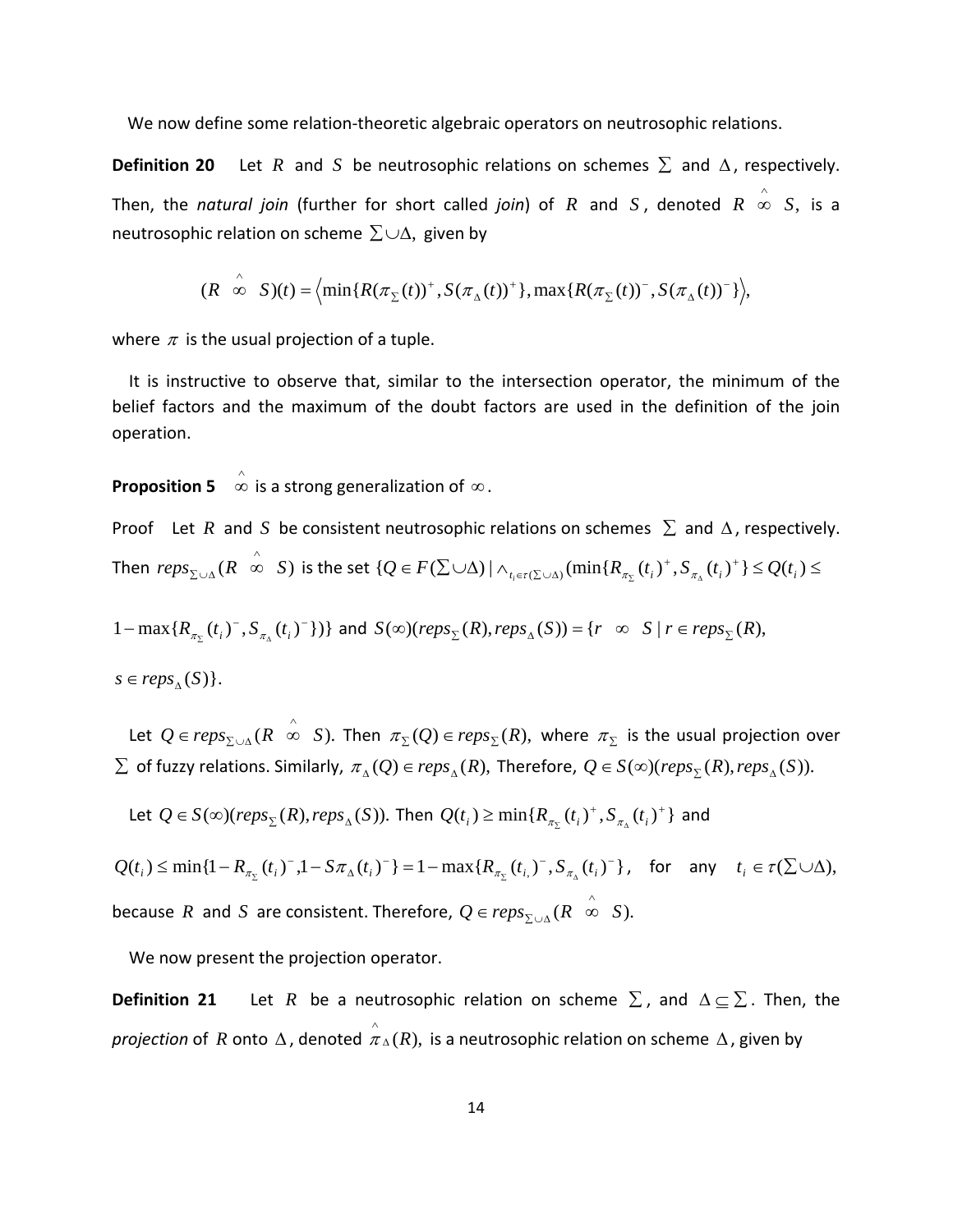We now define some relation-theoretic algebraic operators on neutrosophic relations.

**Definition 20** Let *R* and *S* be neutrosophic relations on schemes  $\sum$  and  $\Delta$ , respectively. Then, the *natural join* (further for short called *join*) of  $R$  and  $S$ , denoted  $R \stackrel{\wedge}{\infty} S$ , is a neutrosophic relation on scheme ∑∪Δ, given by

$$
(R \stackrel{\wedge}{\infty} S)(t) = \left\langle \min\{R(\pi_{\Sigma}(t))^+, S(\pi_{\Delta}(t))^+\}, \max\{R(\pi_{\Sigma}(t)^-, S(\pi_{\Delta}(t))^-\}\right\rangle,
$$

where  $\pi$  is the usual projection of a tuple.

 It is instructive to observe that, similar to the intersection operator, the minimum of the belief factors and the maximum of the doubt factors are used in the definition of the join operation.

# **Proposition 5**  $\stackrel{\wedge}{\infty}$  is a strong generalization of  $\infty$ .

Proof Let *R* and *S* be consistent neutrosophic relations on schemes  $\sum$  and  $\Delta$ , respectively. Then  $\mathit{reps}_{\Sigma \cup \Delta}(R \ \overset{\wedge}{\infty} \ S)$  is the set  $\{Q \in F(\Sigma \cup \Delta) \ | \wedge_{t_i \in \tau(\Sigma \cup \Delta)} (\min\{R_{\pi_{\Sigma}}(t_i)^+, S_{\pi_{\Delta}}(t_i)^+\} \leq Q(t_i) \leq \delta) \}$ 

$$
1 - \max\{R_{\pi_{\Sigma}}(t_i)^-, S_{\pi_{\Delta}}(t_i)^-\}\}\} \text{ and } S(\infty)(reps_{\Sigma}(R), reps_{\Delta}(S)) = \{r \; \text{ so } S \mid r \in reps_{\Sigma}(R),
$$
  

$$
s \in reps_{\Delta}(S)\}.
$$

Let  $Q \in reps_{\sum\cup\Delta}(R \stackrel{\wedge}{\infty} S)$ . Then  $\pi_{\Sigma}(Q) \in reps_{\Sigma}(R)$ , where  $\pi_{\Sigma}$  is the usual projection over  $\sum$  of fuzzy relations. Similarly,  $\pi_{\Delta}(Q) \in reps_{\Delta}(R)$ , Therefore,  $Q \in S(\infty)(reps_{\Sigma}(R), reps_{\Delta}(S))$ .

Let 
$$
Q \in S(\infty)(reps_{\Sigma}(R),reps_{\Delta}(S))
$$
. Then  $Q(t_i) \geq \min\{R_{\pi_{\Sigma}}(t_i)^+, S_{\pi_{\Delta}}(t_i)^+\}$  and

 $(t_i) \leq \min\{1 - R_{\pi_{\Sigma}}(t_i) - 1 - S\pi_{\Delta}(t_i) \} = 1 - \max\{R_{\pi_{\Sigma}}(t_i) - S_{\pi_{\Delta}}(t_i) \}$ Δ  $Q(t_i) \le \min\{1 - R_{\pi_{\Sigma}}(t_i)^{-}, 1 - S\pi_{\Delta}(t_i)^{-}\} = 1 - \max\{R_{\pi_{\Sigma}}(t_i)^{-}, S_{\pi_{\Delta}}(t_i)^{-}\}\$ , for any  $t_i \in \tau(\Sigma \cup \Delta)$ ,  $\vec{R}$  and  $\vec{S}$  are consistent. Therefore,  $Q \in \text{reps}_{\Sigma \cup \Delta}(\vec{R} \, \stackrel{\wedge}{\infty} \, S)$ .

We now present the projection operator.

**Definition 21** Let *R* be a neutrosophic relation on scheme  $\Sigma$ , and  $\Delta \subseteq \Sigma$ . Then, the  $\overrightarrow{projection}$  of  $R$  onto  $\overrightarrow{\Delta}$ , denoted  $\overrightarrow{x}_{\Delta}(R)$ , is a neutrosophic relation on scheme  $\Delta$ , given by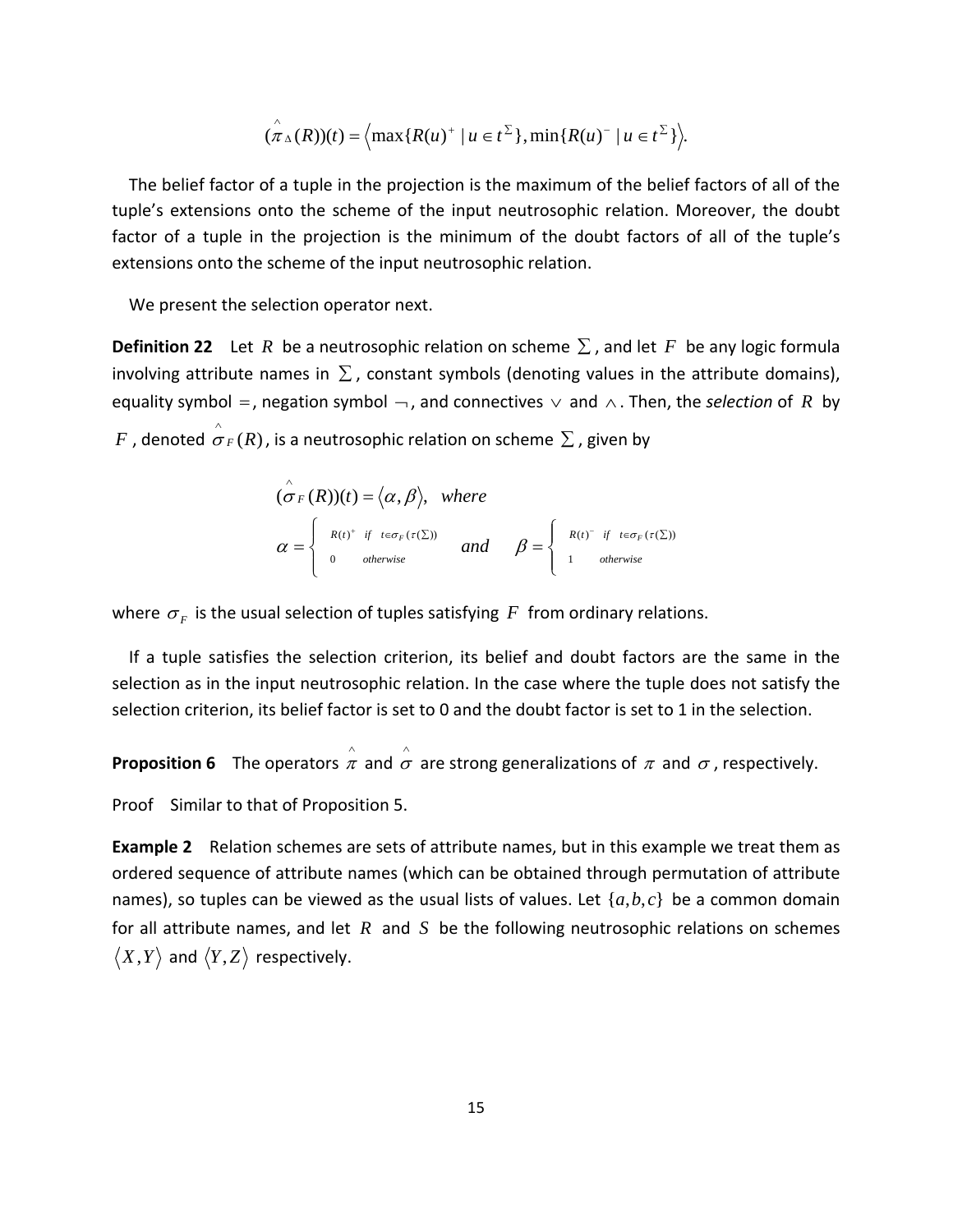$$
(\hat{\pi}_{\Delta}(R))(t) = \langle \max\{R(u)^+ \mid u \in t^{\Sigma}\}, \min\{R(u)^- \mid u \in t^{\Sigma}\}\rangle.
$$

 The belief factor of a tuple in the projection is the maximum of the belief factors of all of the tuple's extensions onto the scheme of the input neutrosophic relation. Moreover, the doubt factor of a tuple in the projection is the minimum of the doubt factors of all of the tuple's extensions onto the scheme of the input neutrosophic relation.

We present the selection operator next.

**Definition 22** Let *R* be a neutrosophic relation on scheme  $\Sigma$ , and let *F* be any logic formula involving attribute names in  $\Sigma$ , constant symbols (denoting values in the attribute domains), equality symbol =, negation symbol  $\neg$ , and connectives  $\vee$  and  $\wedge$ . Then, the *selection* of *R* by  $F$  , denoted  $\stackrel{\wedge}{\sigma}_F(R)$  , is a neutrosophic relation on scheme  $\Sigma$  , given by

$$
(\hat{\sigma}_F(R))(t) = \langle \alpha, \beta \rangle, \quad \text{where}
$$
\n
$$
\alpha = \begin{cases} R(t)^+ & \text{if } t \in \sigma_F(\tau(\Sigma)) \\ 0 & \text{otherwise} \end{cases} \quad \text{and} \quad \beta = \begin{cases} R(t)^- & \text{if } t \in \sigma_F(\tau(\Sigma)) \\ 1 & \text{otherwise} \end{cases}
$$

where  $\sigma_F$  is the usual selection of tuples satisfying  $F$  from ordinary relations.

 If a tuple satisfies the selection criterion, its belief and doubt factors are the same in the selection as in the input neutrosophic relation. In the case where the tuple does not satisfy the selection criterion, its belief factor is set to 0 and the doubt factor is set to 1 in the selection.

**Proposition 6** The operators  $\hat{\pi}$  and  $\hat{\sigma}$  are strong generalizations of  $\pi$  and  $\sigma$ , respectively.

Proof Similar to that of Proposition 5.

**Example 2** Relation schemes are sets of attribute names, but in this example we treat them as ordered sequence of attribute names (which can be obtained through permutation of attribute names), so tuples can be viewed as the usual lists of values. Let {*a*,*b*,*c*} be a common domain for all attribute names, and let *R* and *S* be the following neutrosophic relations on schemes  $\langle X, Y \rangle$  and  $\langle Y, Z \rangle$  respectively.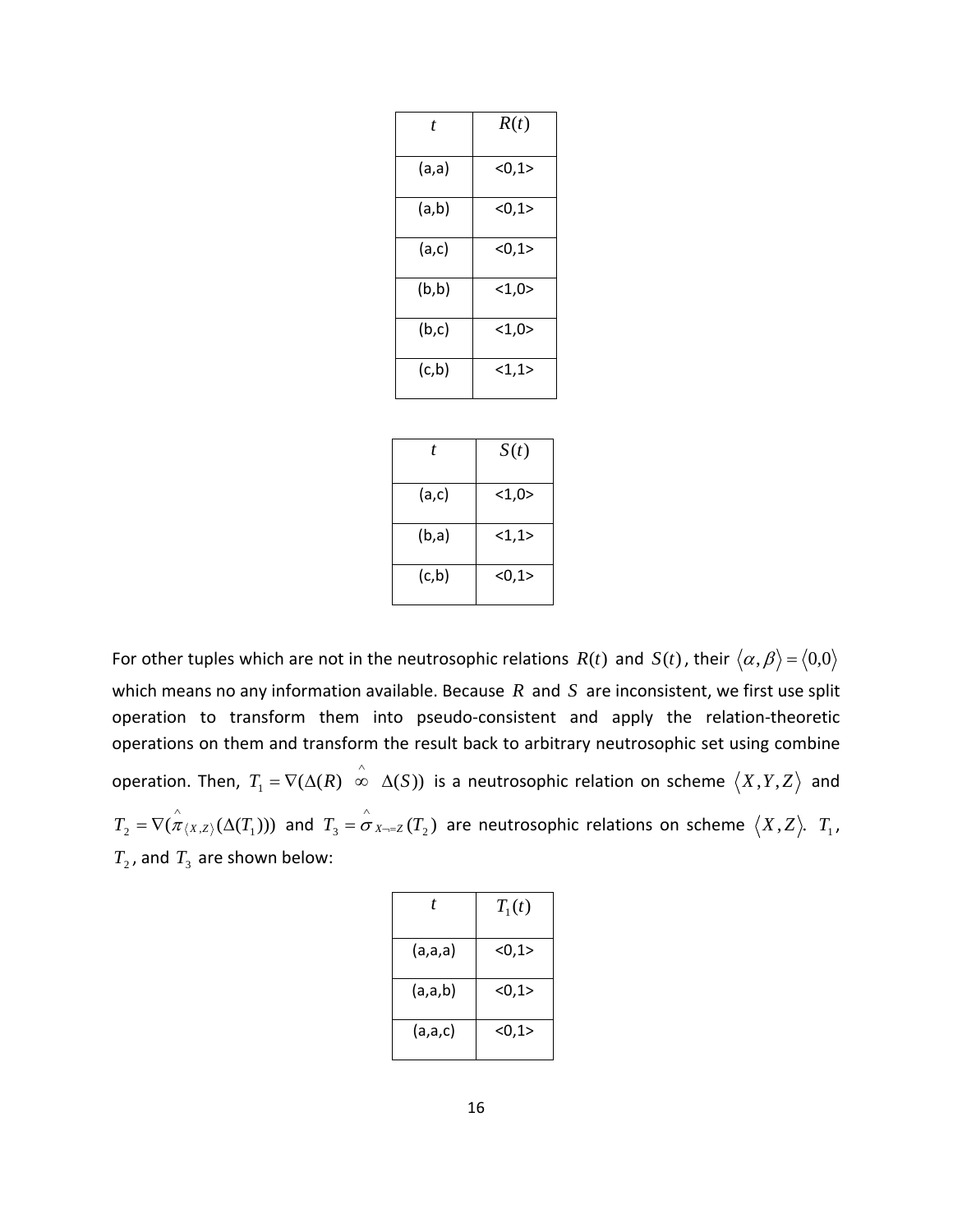| t      | R(t)  |
|--------|-------|
| (a,a)  | <0,1> |
| (a,b)  | <0,1> |
| (a, c) | <0,1> |
| (b,b)  | <1,0> |
| (b,c)  | <1,0> |
| (c,b)  | <1,1> |

| t      | S(t)  |
|--------|-------|
| (a, c) | <1,0> |
| (b,a)  | <1,1> |
| (c,b)  | <0,1> |

For other tuples which are not in the neutrosophic relations  $R(t)$  and  $S(t)$ , their  $\langle \alpha, \beta \rangle = \langle 0,0 \rangle$ which means no any information available. Because *R* and *S* are inconsistent, we first use split operation to transform them into pseudo‐consistent and apply the relation‐theoretic operations on them and transform the result back to arbitrary neutrosophic set using combine  $\mathsf{operation.}$  Then,  $T_1 = \nabla(\Delta(R) \stackrel{\wedge}{\infty} \Delta(S))$  is a neutrosophic relation on scheme  $\big\langle X,Y,Z\big\rangle$  and  $T_2 = \nabla(\overset{\wedge}{\pi}_{\langle X,Z\rangle}(\Delta(T_1)))$  and  $T_3 = \overset{\wedge}{\sigma}_{X \to Z}(T_2)$  are neutrosophic relations on scheme  $\big\langle X,Z\big\rangle$ .  $T_1$  ,  $T_2$ , and  $T_3$  are shown below:

| t       | $T_1(t)$ |
|---------|----------|
| (a,a,a) | < 0, 1 > |
| (a,a,b) | < 0, 1 > |
| (a,a,c) | <0,1>    |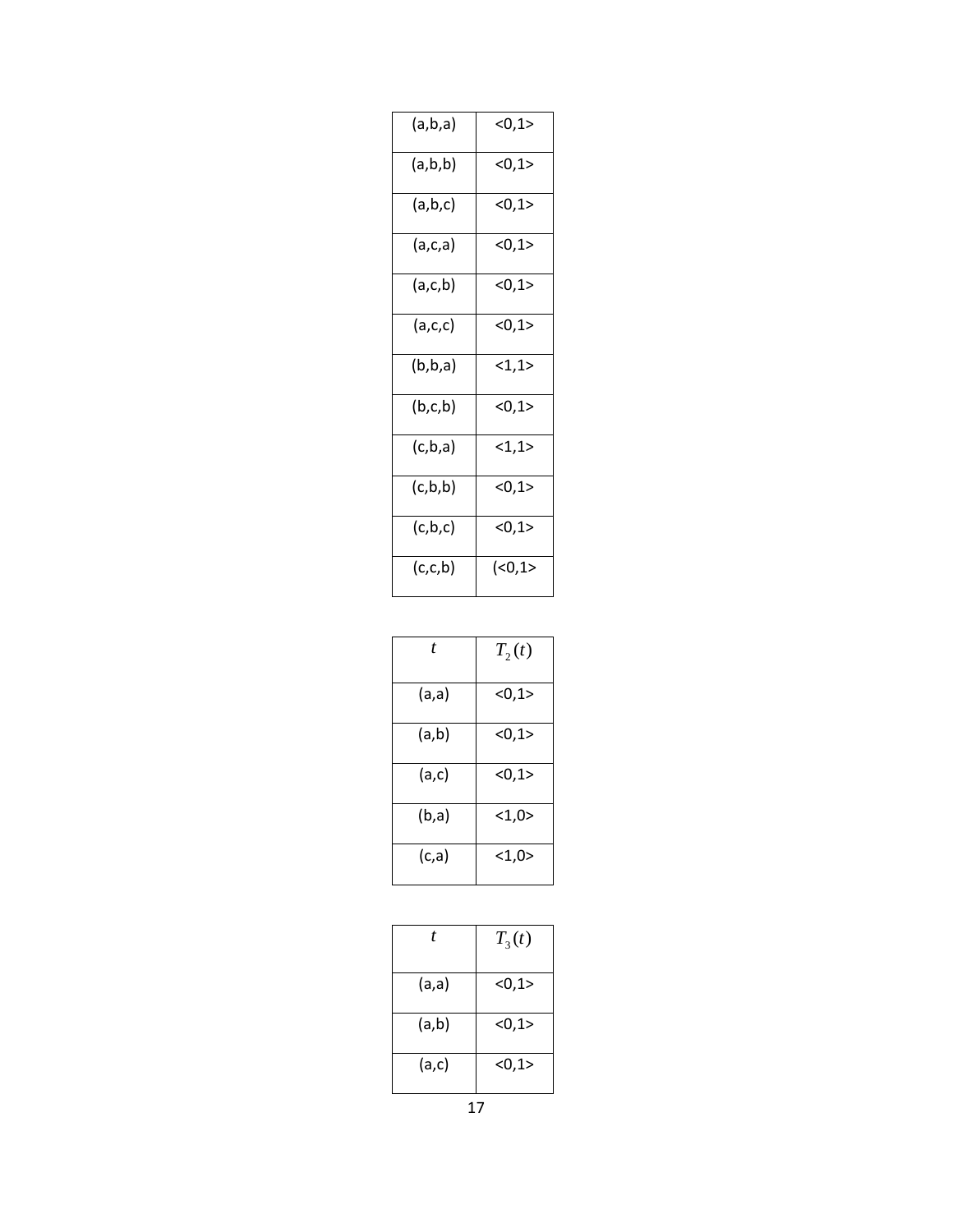| (a,b,a)   | <0,1>    |
|-----------|----------|
| (a,b,b)   | $<$ 0,1> |
| (a,b,c)   | $<$ 0,1> |
| (a,c,a)   | <0,1>    |
| (a, c, b) | < 0, 1 > |
| (a,c,c)   | <0,1>    |
| (b,b,a)   | <1,1>    |
| (b, c, b) | <0,1>    |
| (c,b,a)   | <1,1>    |
| (c,b,b)   | <0,1>    |
| (c,b,c)   | <0,1>    |
| (c, c, b) | (<0,1>   |

| t     | $T_{2}(t)$ |
|-------|------------|
| (a,a) | <0,1>      |
| (a,b) | <0,1>      |
| (a,c) | <0,1>      |
| (b,a) | <1,0>      |
| (c,a) | <1,0>      |

| t      | $T_{3}(t)$ |
|--------|------------|
| (a,a)  | < 0, 1 >   |
| (a,b)  | <0,1>      |
| (a, c) | < 0, 1 >   |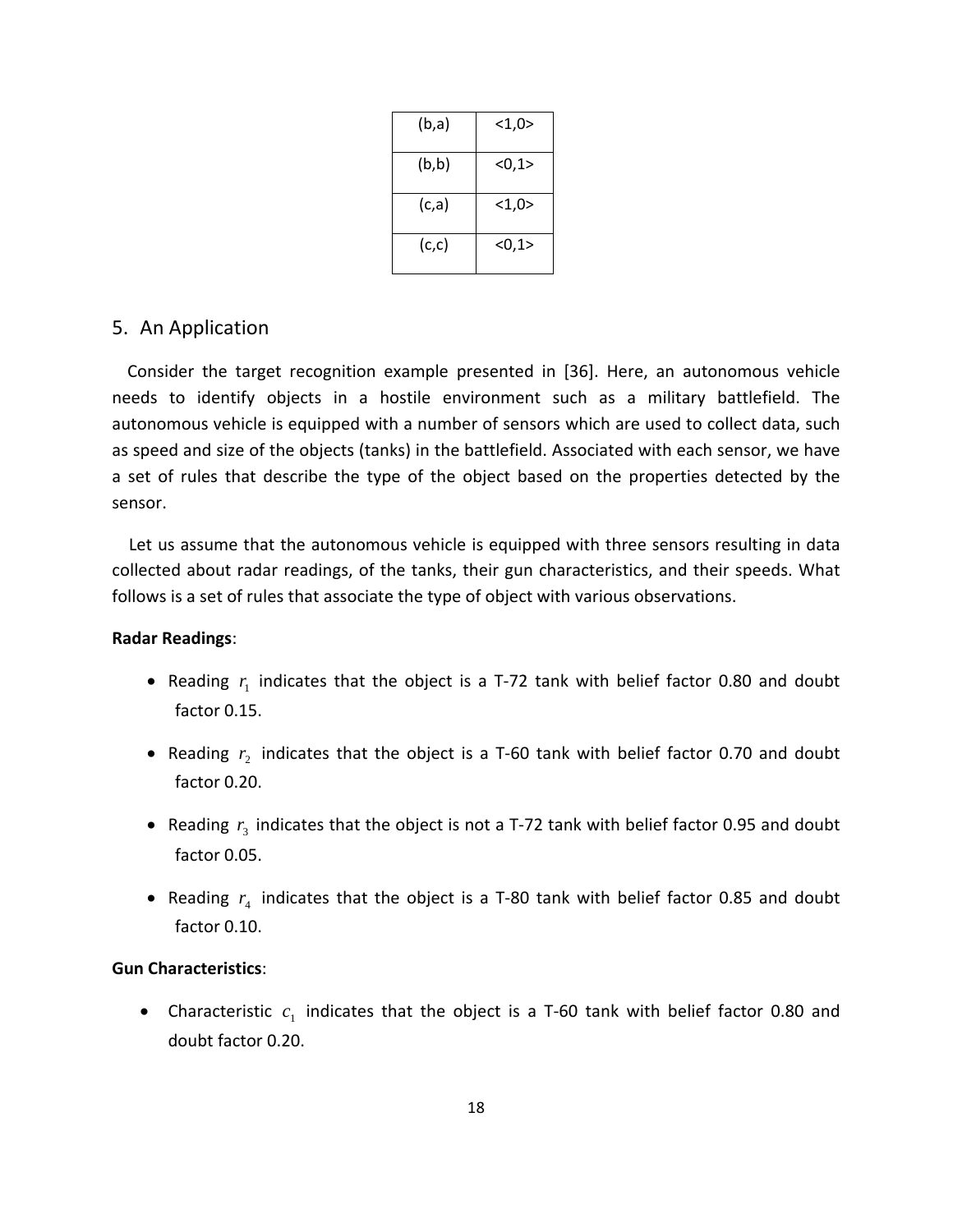| (b,a) | <1,0>    |
|-------|----------|
| (b,b) | < 0, 1 > |
| (c,a) | <1,0>    |
| (c,c) | <0,1>    |

# 5. An Application

 Consider the target recognition example presented in [36]. Here, an autonomous vehicle needs to identify objects in a hostile environment such as a military battlefield. The autonomous vehicle is equipped with a number of sensors which are used to collect data, such as speed and size of the objects (tanks) in the battlefield. Associated with each sensor, we have a set of rules that describe the type of the object based on the properties detected by the sensor.

 Let us assume that the autonomous vehicle is equipped with three sensors resulting in data collected about radar readings, of the tanks, their gun characteristics, and their speeds. What follows is a set of rules that associate the type of object with various observations.

#### **Radar Readings**:

- Reading  $r_1$  indicates that the object is a T-72 tank with belief factor 0.80 and doubt factor 0.15.
- Reading  $r_2$  indicates that the object is a T-60 tank with belief factor 0.70 and doubt factor 0.20.
- Reading  $r_3$  indicates that the object is not a T-72 tank with belief factor 0.95 and doubt factor 0.05.
- Reading  $r_4$  indicates that the object is a T-80 tank with belief factor 0.85 and doubt factor 0.10.

# **Gun Characteristics**:

• Characteristic  $c_1$  indicates that the object is a T-60 tank with belief factor 0.80 and doubt factor 0.20.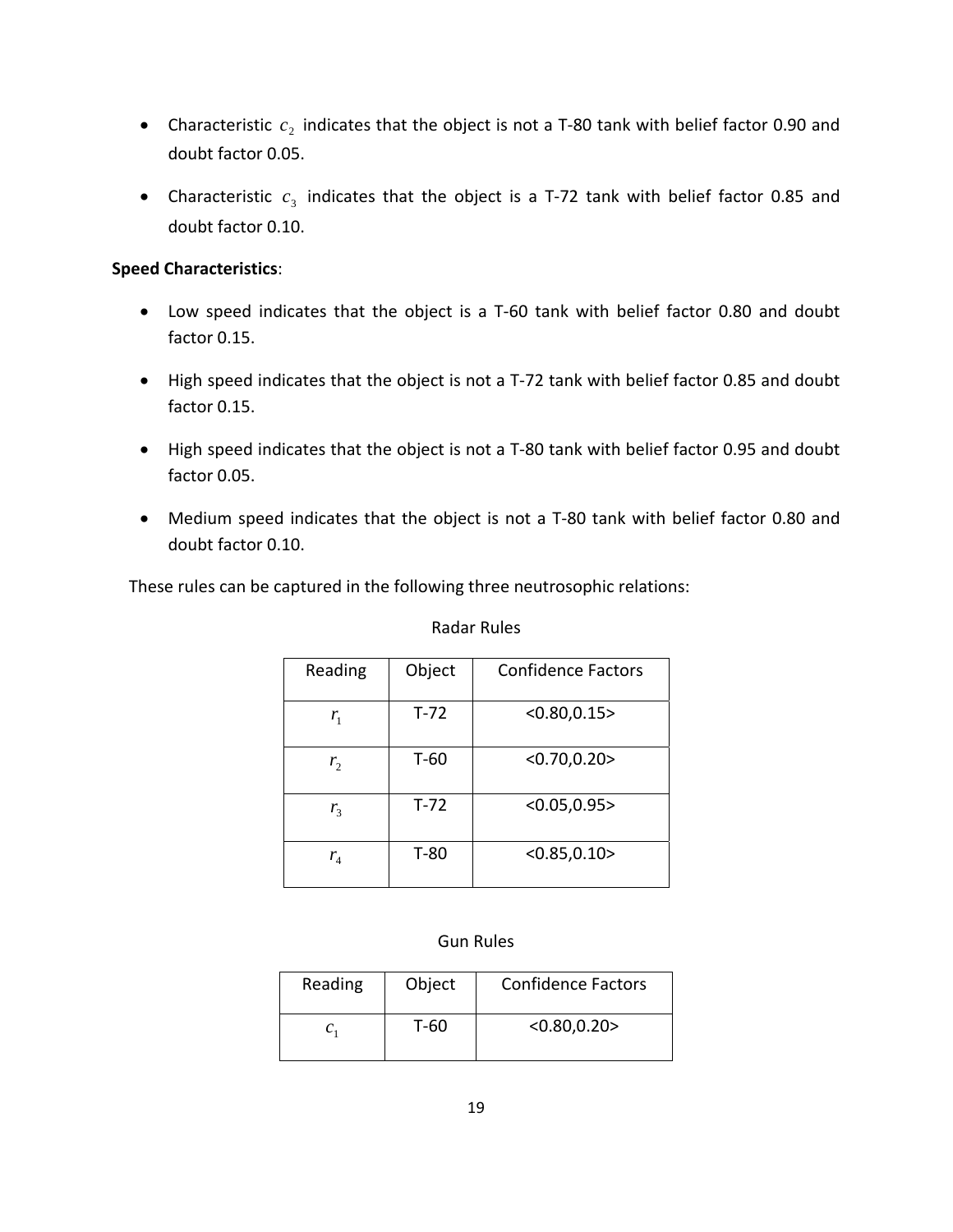- Characteristic  $c_2$  indicates that the object is not a T-80 tank with belief factor 0.90 and doubt factor 0.05.
- Characteristic  $c_3$  indicates that the object is a T-72 tank with belief factor 0.85 and doubt factor 0.10.

# **Speed Characteristics**:

- Low speed indicates that the object is a T‐60 tank with belief factor 0.80 and doubt factor 0.15.
- High speed indicates that the object is not a T‐72 tank with belief factor 0.85 and doubt factor 0.15.
- High speed indicates that the object is not a T‐80 tank with belief factor 0.95 and doubt factor 0.05.
- Medium speed indicates that the object is not a T‐80 tank with belief factor 0.80 and doubt factor 0.10.

These rules can be captured in the following three neutrosophic relations:

| Reading        | Object | <b>Confidence Factors</b> |
|----------------|--------|---------------------------|
| $r_{1}$        | $T-72$ | < 0.80, 0.15              |
| r <sub>2</sub> | $T-60$ | < 0.70, 0.20              |
| r <sub>3</sub> | $T-72$ | < 0.05, 0.95              |
| $r_{\rm 4}$    | $T-80$ | < 0.85, 0.10              |

# Radar Rules

# Gun Rules

| Reading | Object | <b>Confidence Factors</b> |
|---------|--------|---------------------------|
|         | T-60   | < 0.80, 0.20              |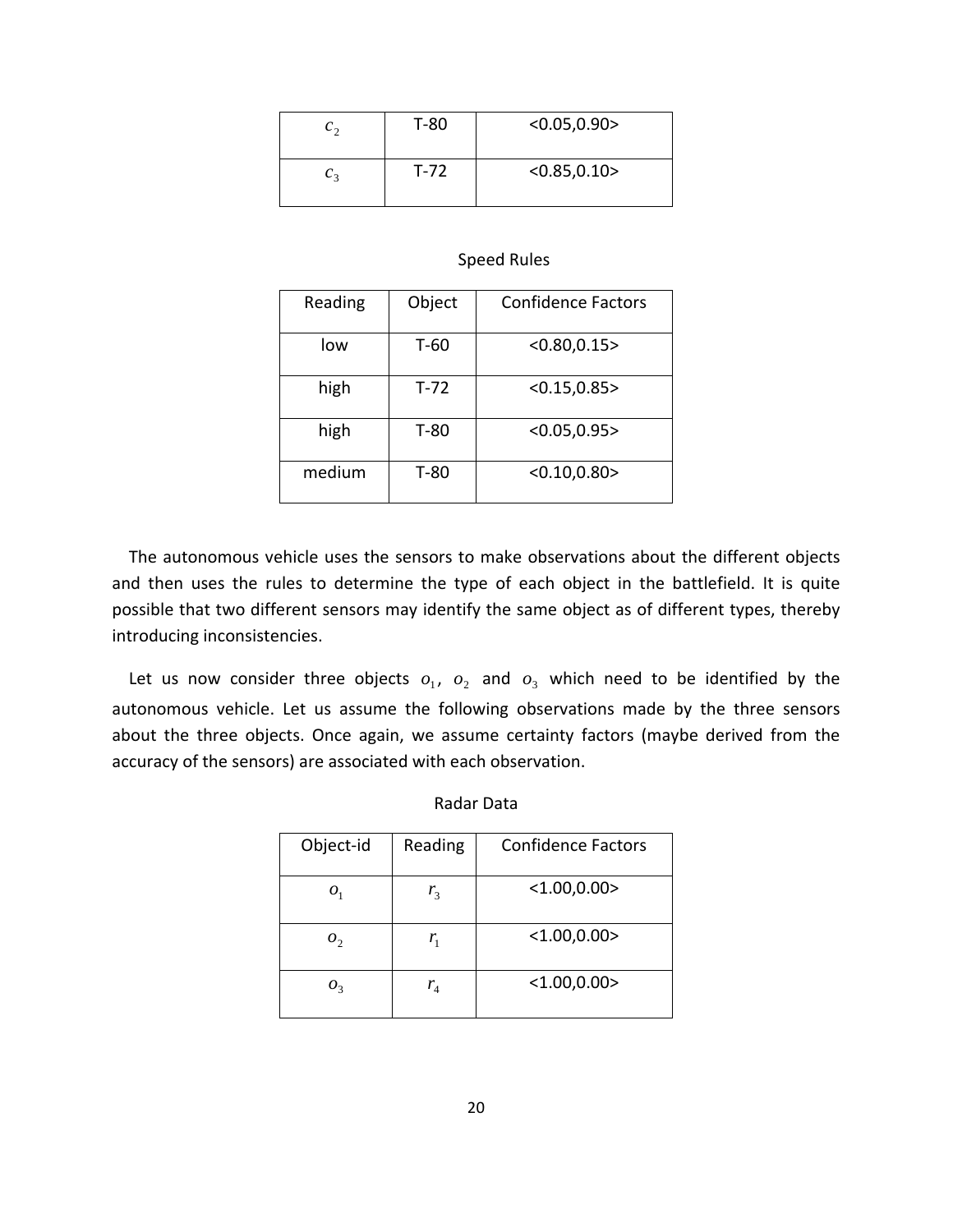| $\mathcal{C}_{\mathcal{D}}$ | $T-80$ | < 0.05, 0.90 |
|-----------------------------|--------|--------------|
| $c_{\scriptscriptstyle 2}$  | T-72   | < 0.85, 0.10 |

# Speed Rules

| Reading | Object | <b>Confidence Factors</b> |
|---------|--------|---------------------------|
| low     | T-60   | < 0.80, 0.15              |
| high    | $T-72$ | < 0.15, 0.85              |
| high    | T-80   | <0.05, 0.95>              |
| medium  | $T-80$ | < 0.10, 0.80              |

 The autonomous vehicle uses the sensors to make observations about the different objects and then uses the rules to determine the type of each object in the battlefield. It is quite possible that two different sensors may identify the same object as of different types, thereby introducing inconsistencies.

Let us now consider three objects  $o_1$ ,  $o_2$  and  $o_3$  which need to be identified by the autonomous vehicle. Let us assume the following observations made by the three sensors about the three objects. Once again, we assume certainty factors (maybe derived from the accuracy of the sensors) are associated with each observation.

| Object-id       | Reading     | <b>Confidence Factors</b> |
|-----------------|-------------|---------------------------|
|                 |             |                           |
|                 | $r_{3}$     | < 1.00, 0.00              |
|                 |             |                           |
| $\mathcal{O}_2$ | $r_{\rm i}$ | < 1.00, 0.00              |
|                 |             |                           |
|                 |             |                           |
| $\sigma_{3}$    | $r_{\rm 4}$ | < 1.00, 0.00              |
|                 |             |                           |

| Radar Data |  |
|------------|--|
|------------|--|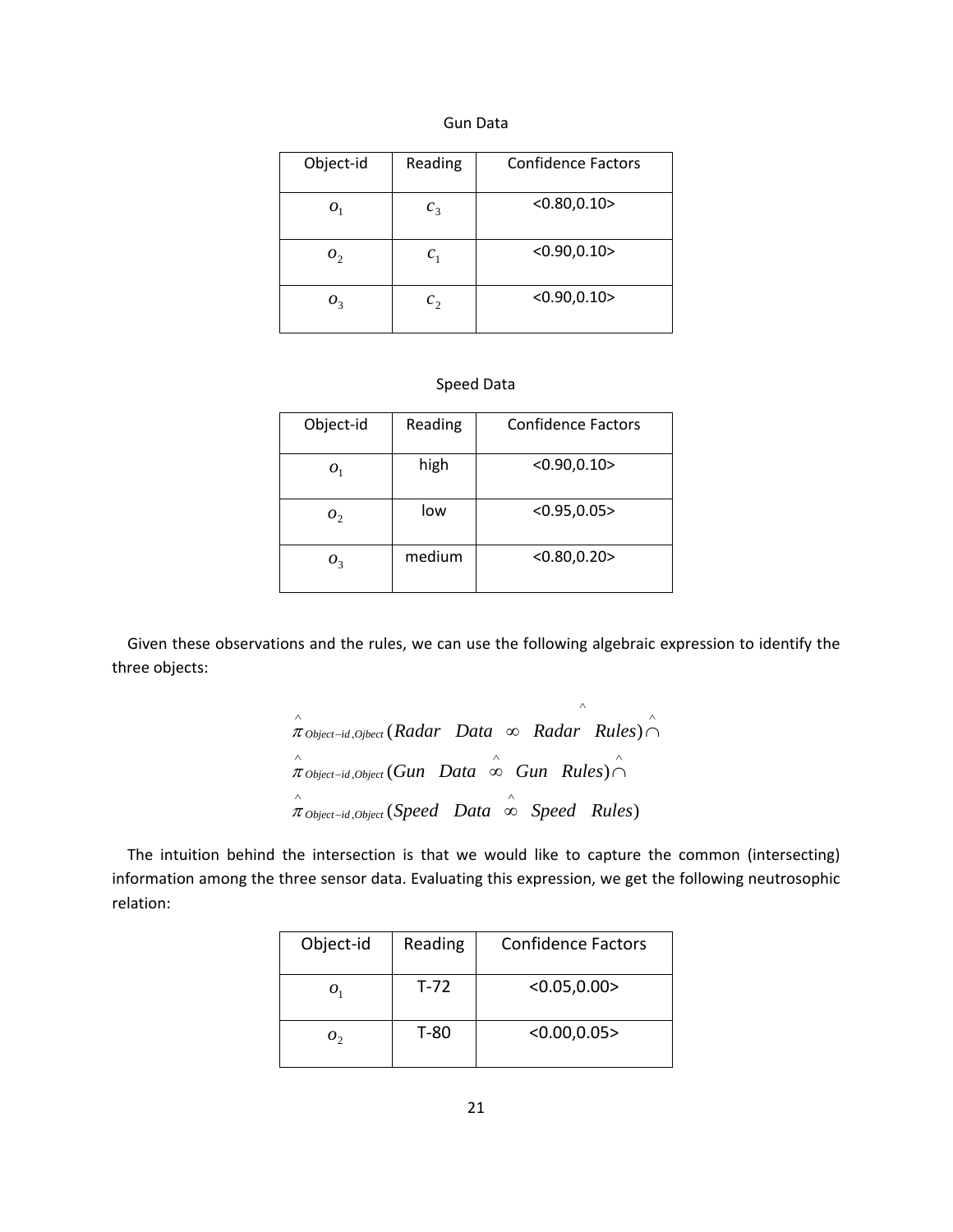#### Gun Data

| Object-id | Reading | <b>Confidence Factors</b> |
|-----------|---------|---------------------------|
| $\bm{o}$  | $c_3$   | < 0.80, 0.10              |
| ο,        | $c_{1}$ | < 0.90, 0.10              |
| $O_3$     | $c_{2}$ | < 0.90, 0.10              |

#### Speed Data

| Object-id      | Reading | Confidence Factors |
|----------------|---------|--------------------|
| O <sub>1</sub> | high    | < 0.90, 0.10       |
| o <sub>2</sub> | low     | < 0.95, 0.05       |
| $O_3$          | medium  | < 0.80, 0.20       |

 Given these observations and the rules, we can use the following algebraic expression to identify the three objects:

$$
\hat{\pi}_{Object-id,Object} (Radar Data \otimes Radar Rules) \hat{\wedge} \newline \hat{\pi}_{Object-id,Object} (Gun Data \hat{\otimes} Gun Rules) \hat{\wedge} \newline \hat{\pi}_{Object-id,Object} (Speed Data \hat{\otimes} Speed Rules)
$$

 The intuition behind the intersection is that we would like to capture the common (intersecting) information among the three sensor data. Evaluating this expression, we get the following neutrosophic relation:

| Object-id | Reading | <b>Confidence Factors</b> |
|-----------|---------|---------------------------|
|           | T-72    | <0.05, 0.00>              |
|           | T-80    | < 0.00, 0.05              |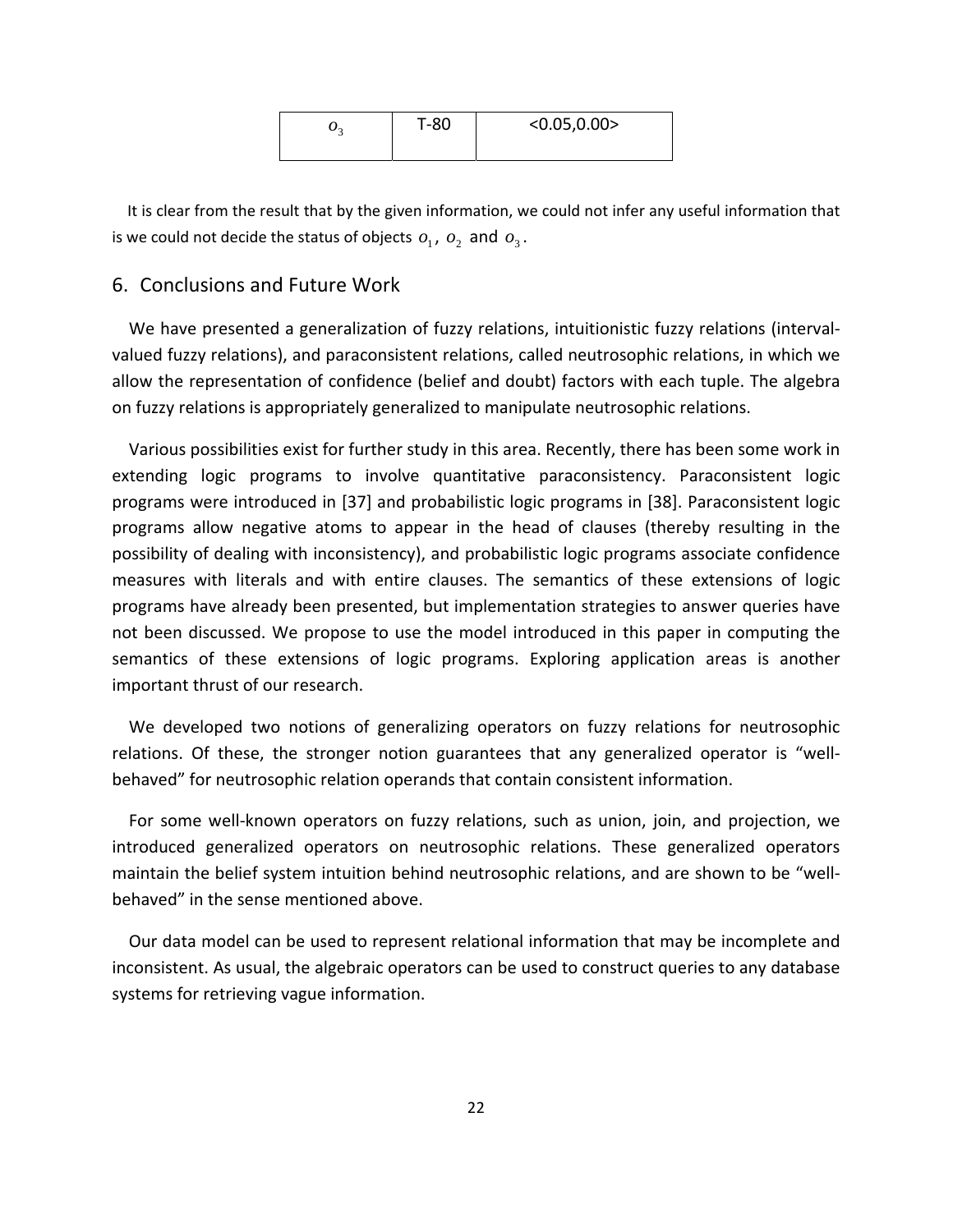| $T-80$ | <0.05, 0.00> |
|--------|--------------|
|        |              |

 It is clear from the result that by the given information, we could not infer any useful information that is we could not decide the status of objects  $o_1$ ,  $o_2$  and  $o_3$ .

# 6. Conclusions and Future Work

We have presented a generalization of fuzzy relations, intuitionistic fuzzy relations (intervalvalued fuzzy relations), and paraconsistent relations, called neutrosophic relations, in which we allow the representation of confidence (belief and doubt) factors with each tuple. The algebra on fuzzy relations is appropriately generalized to manipulate neutrosophic relations.

 Various possibilities exist for further study in this area. Recently, there has been some work in extending logic programs to involve quantitative paraconsistency. Paraconsistent logic programs were introduced in [37] and probabilistic logic programs in [38]. Paraconsistent logic programs allow negative atoms to appear in the head of clauses (thereby resulting in the possibility of dealing with inconsistency), and probabilistic logic programs associate confidence measures with literals and with entire clauses. The semantics of these extensions of logic programs have already been presented, but implementation strategies to answer queries have not been discussed. We propose to use the model introduced in this paper in computing the semantics of these extensions of logic programs. Exploring application areas is another important thrust of our research.

 We developed two notions of generalizing operators on fuzzy relations for neutrosophic relations. Of these, the stronger notion guarantees that any generalized operator is "well‐ behaved" for neutrosophic relation operands that contain consistent information.

For some well-known operators on fuzzy relations, such as union, join, and projection, we introduced generalized operators on neutrosophic relations. These generalized operators maintain the belief system intuition behind neutrosophic relations, and are shown to be "well‐ behaved" in the sense mentioned above.

 Our data model can be used to represent relational information that may be incomplete and inconsistent. As usual, the algebraic operators can be used to construct queries to any database systems for retrieving vague information.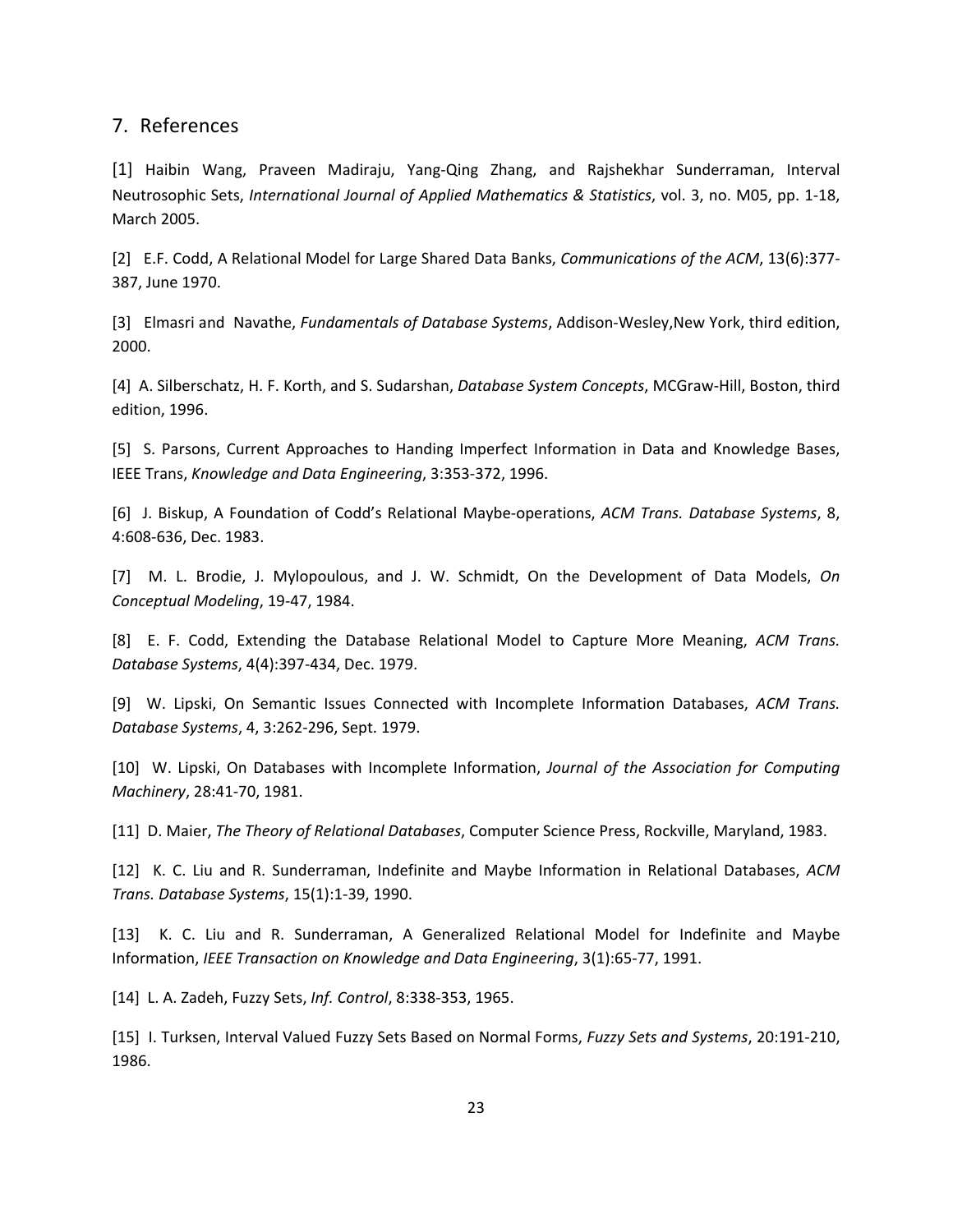# 7. References

[1] Haibin Wang, Praveen Madiraju, Yang‐Qing Zhang, and Rajshekhar Sunderraman, Interval Neutrosophic Sets, *International Journal of Applied Mathematics & Statistics*, vol. 3, no. M05, pp. 1‐18, March 2005.

[2] E.F. Codd, A Relational Model for Large Shared Data Banks, *Communications of the ACM*, 13(6):377‐ 387, June 1970.

[3] Elmasri and Navathe, *Fundamentals of Database Systems*, Addison‐Wesley,New York, third edition, 2000.

[4] A. Silberschatz, H. F. Korth, and S. Sudarshan, *Database System Concepts*, MCGraw‐Hill, Boston, third edition, 1996.

[5] S. Parsons, Current Approaches to Handing Imperfect Information in Data and Knowledge Bases, IEEE Trans, *Knowledge and Data Engineering*, 3:353‐372, 1996.

[6] J. Biskup, A Foundation of Codd's Relational Maybe‐operations, *ACM Trans. Database Systems*, 8, 4:608‐636, Dec. 1983.

[7] M. L. Brodie, J. Mylopoulous, and J. W. Schmidt, On the Development of Data Models, *On Conceptual Modeling*, 19‐47, 1984.

[8] E. F. Codd, Extending the Database Relational Model to Capture More Meaning, *ACM Trans. Database Systems*, 4(4):397‐434, Dec. 1979.

[9] W. Lipski, On Semantic Issues Connected with Incomplete Information Databases, *ACM Trans. Database Systems*, 4, 3:262‐296, Sept. 1979.

[10] W. Lipski, On Databases with Incomplete Information, *Journal of the Association for Computing Machinery*, 28:41‐70, 1981.

[11] D. Maier, *The Theory of Relational Databases*, Computer Science Press, Rockville, Maryland, 1983.

[12] K. C. Liu and R. Sunderraman, Indefinite and Maybe Information in Relational Databases, *ACM Trans. Database Systems*, 15(1):1‐39, 1990.

[13] K. C. Liu and R. Sunderraman, A Generalized Relational Model for Indefinite and Maybe Information, *IEEE Transaction on Knowledge and Data Engineering*, 3(1):65‐77, 1991.

[14] L. A. Zadeh, Fuzzy Sets, *Inf. Control*, 8:338‐353, 1965.

[15] I. Turksen, Interval Valued Fuzzy Sets Based on Normal Forms, *Fuzzy Sets and Systems*, 20:191‐210, 1986.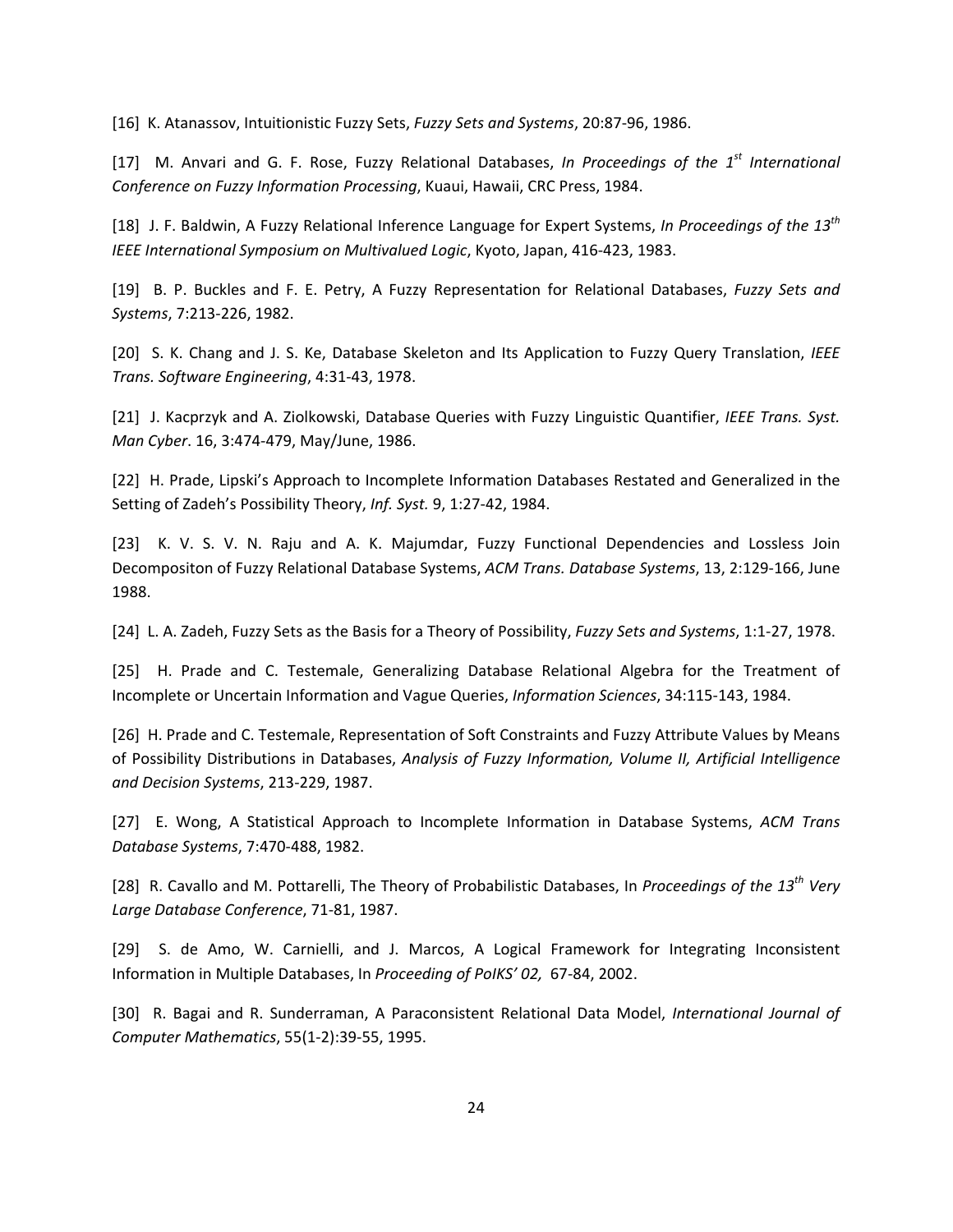[16] K. Atanassov, Intuitionistic Fuzzy Sets, *Fuzzy Sets and Systems*, 20:87‐96, 1986.

[17] M. Anvari and G. F. Rose, Fuzzy Relational Databases, *In Proceedings of the 1st International Conference on Fuzzy Information Processing*, Kuaui, Hawaii, CRC Press, 1984.

[18] J. F. Baldwin, A Fuzzy Relational Inference Language for Expert Systems, *In Proceedings of the 13th IEEE International Symposium on Multivalued Logic*, Kyoto, Japan, 416‐423, 1983.

[19] B. P. Buckles and F. E. Petry, A Fuzzy Representation for Relational Databases, *Fuzzy Sets and Systems*, 7:213‐226, 1982.

[20] S. K. Chang and J. S. Ke, Database Skeleton and Its Application to Fuzzy Query Translation, *IEEE Trans. Software Engineering*, 4:31‐43, 1978.

[21] J. Kacprzyk and A. Ziolkowski, Database Queries with Fuzzy Linguistic Quantifier, *IEEE Trans. Syst. Man Cyber*. 16, 3:474‐479, May/June, 1986.

[22] H. Prade, Lipski's Approach to Incomplete Information Databases Restated and Generalized in the Setting of Zadeh's Possibility Theory, *Inf. Syst.* 9, 1:27‐42, 1984.

[23] K. V. S. V. N. Raju and A. K. Majumdar, Fuzzy Functional Dependencies and Lossless Join Decompositon of Fuzzy Relational Database Systems, *ACM Trans. Database Systems*, 13, 2:129‐166, June 1988.

[24] L. A. Zadeh, Fuzzy Sets as the Basis for a Theory of Possibility, *Fuzzy Sets and Systems*, 1:1‐27, 1978.

[25] H. Prade and C. Testemale, Generalizing Database Relational Algebra for the Treatment of Incomplete or Uncertain Information and Vague Queries, *Information Sciences*, 34:115‐143, 1984.

[26] H. Prade and C. Testemale, Representation of Soft Constraints and Fuzzy Attribute Values by Means of Possibility Distributions in Databases, *Analysis of Fuzzy Information, Volume II, Artificial Intelligence and Decision Systems*, 213‐229, 1987.

[27] E. Wong, A Statistical Approach to Incomplete Information in Database Systems, *ACM Trans Database Systems*, 7:470‐488, 1982.

[28] R. Cavallo and M. Pottarelli, The Theory of Probabilistic Databases, In *Proceedings of the 13th Very Large Database Conference*, 71‐81, 1987.

[29] S. de Amo, W. Carnielli, and J. Marcos, A Logical Framework for Integrating Inconsistent Information in Multiple Databases, In *Proceeding of PoIKS' 02,* 67‐84, 2002.

[30] R. Bagai and R. Sunderraman, A Paraconsistent Relational Data Model, *International Journal of Computer Mathematics*, 55(1‐2):39‐55, 1995.